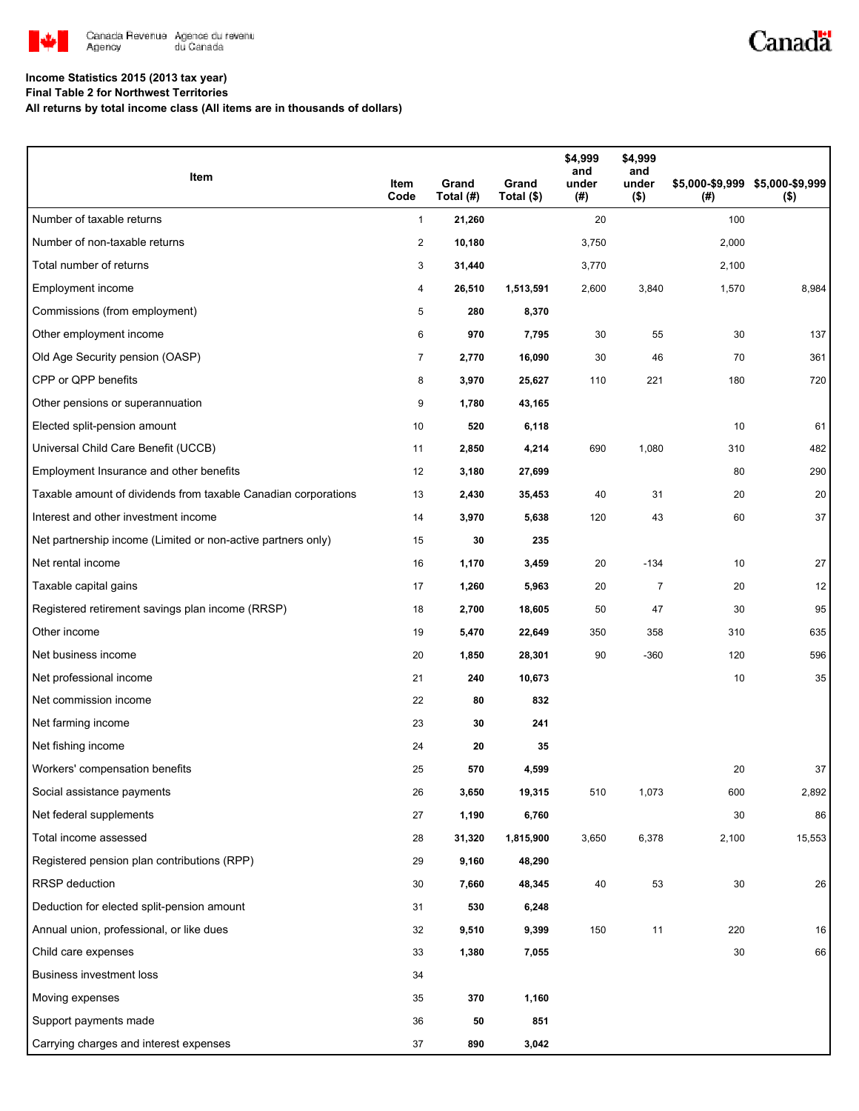

## Canadä

### **Income Statistics 2015 (2013 tax year)**

**Final Table 2 for Northwest Territories**

**All returns by total income class (All items are in thousands of dollars)**

| Item                                                           | Item<br>Code   | Grand<br>Total (#) | Grand<br>Total (\$) | \$4,999<br>and<br>under<br>(#) | \$4,999<br>and<br>under<br>$($ \$) | (#)   | \$5,000-\$9,999 \$5,000-\$9,999<br>$($ \$) |
|----------------------------------------------------------------|----------------|--------------------|---------------------|--------------------------------|------------------------------------|-------|--------------------------------------------|
| Number of taxable returns                                      | $\mathbf{1}$   | 21,260             |                     | 20                             |                                    | 100   |                                            |
| Number of non-taxable returns                                  | 2              | 10,180             |                     | 3,750                          |                                    | 2,000 |                                            |
| Total number of returns                                        | 3              | 31,440             |                     | 3,770                          |                                    | 2,100 |                                            |
| Employment income                                              | 4              | 26,510             | 1,513,591           | 2,600                          | 3,840                              | 1,570 | 8,984                                      |
| Commissions (from employment)                                  | $\sqrt{5}$     | 280                | 8,370               |                                |                                    |       |                                            |
| Other employment income                                        | 6              | 970                | 7,795               | 30                             | 55                                 | 30    | 137                                        |
| Old Age Security pension (OASP)                                | $\overline{7}$ | 2,770              | 16,090              | 30                             | 46                                 | 70    | 361                                        |
| CPP or QPP benefits                                            | 8              | 3,970              | 25,627              | 110                            | 221                                | 180   | 720                                        |
| Other pensions or superannuation                               | 9              | 1,780              | 43,165              |                                |                                    |       |                                            |
| Elected split-pension amount                                   | 10             | 520                | 6,118               |                                |                                    | 10    | 61                                         |
| Universal Child Care Benefit (UCCB)                            | 11             | 2,850              | 4,214               | 690                            | 1,080                              | 310   | 482                                        |
| Employment Insurance and other benefits                        | 12             | 3,180              | 27,699              |                                |                                    | 80    | 290                                        |
| Taxable amount of dividends from taxable Canadian corporations | 13             | 2,430              | 35,453              | 40                             | 31                                 | 20    | 20                                         |
| Interest and other investment income                           | 14             | 3,970              | 5,638               | 120                            | 43                                 | 60    | 37                                         |
| Net partnership income (Limited or non-active partners only)   | 15             | 30                 | 235                 |                                |                                    |       |                                            |
| Net rental income                                              | 16             | 1,170              | 3,459               | 20                             | $-134$                             | 10    | 27                                         |
| Taxable capital gains                                          | 17             | 1,260              | 5,963               | 20                             | $\overline{7}$                     | 20    | 12                                         |
| Registered retirement savings plan income (RRSP)               | 18             | 2,700              | 18,605              | 50                             | 47                                 | 30    | 95                                         |
| Other income                                                   | 19             | 5,470              | 22,649              | 350                            | 358                                | 310   | 635                                        |
| Net business income                                            | 20             | 1,850              | 28,301              | 90                             | $-360$                             | 120   | 596                                        |
| Net professional income                                        | 21             | 240                | 10,673              |                                |                                    | 10    | 35                                         |
| Net commission income                                          | 22             | 80                 | 832                 |                                |                                    |       |                                            |
| Net farming income                                             | 23             | 30                 | 241                 |                                |                                    |       |                                            |
| Net fishing income                                             | 24             | 20                 | 35                  |                                |                                    |       |                                            |
| Workers' compensation benefits                                 | 25             | 570                | 4,599               |                                |                                    | 20    | 37                                         |
| Social assistance payments                                     | 26             | 3,650              | 19,315              | 510                            | 1,073                              | 600   | 2,892                                      |
| Net federal supplements                                        | 27             | 1,190              | 6,760               |                                |                                    | 30    | 86                                         |
| Total income assessed                                          | 28             | 31,320             | 1,815,900           | 3,650                          | 6,378                              | 2,100 | 15,553                                     |
| Registered pension plan contributions (RPP)                    | 29             | 9,160              | 48,290              |                                |                                    |       |                                            |
| <b>RRSP</b> deduction                                          | 30             | 7,660              | 48,345              | 40                             | 53                                 | 30    | 26                                         |
| Deduction for elected split-pension amount                     | 31             | 530                | 6,248               |                                |                                    |       |                                            |
| Annual union, professional, or like dues                       | 32             | 9,510              | 9,399               | 150                            | 11                                 | 220   | 16                                         |
| Child care expenses                                            | 33             | 1,380              | 7,055               |                                |                                    | 30    | 66                                         |
| <b>Business investment loss</b>                                | 34             |                    |                     |                                |                                    |       |                                            |
| Moving expenses                                                | 35             | 370                | 1,160               |                                |                                    |       |                                            |
| Support payments made                                          | 36             | 50                 | 851                 |                                |                                    |       |                                            |
| Carrying charges and interest expenses                         | 37             | 890                | 3,042               |                                |                                    |       |                                            |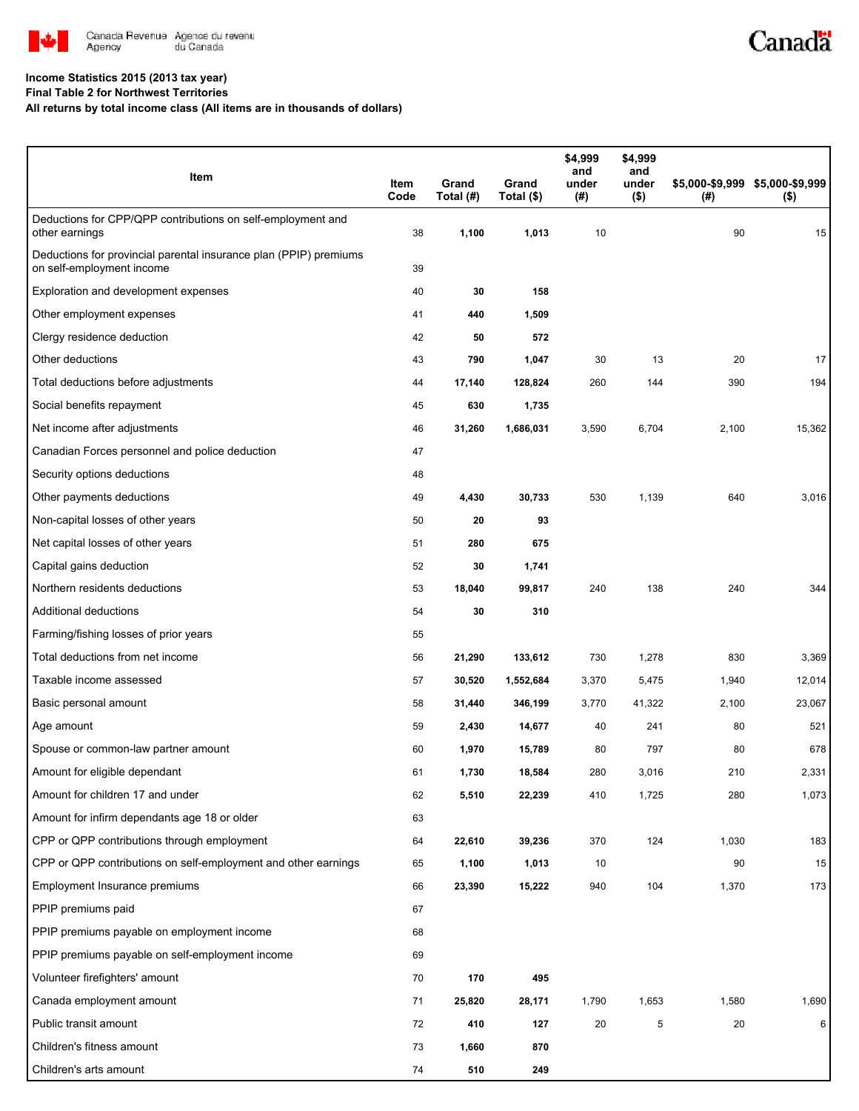

# Canadä

#### **Income Statistics 2015 (2013 tax year)**

**Final Table 2 for Northwest Territories**

**All returns by total income class (All items are in thousands of dollars)**

| Item                                                                                           | Item<br>Code | Grand<br>Total (#) | Grand<br>Total (\$) | \$4,999<br>and<br>under<br>$($ #) | \$4,999<br>and<br>under<br>$($ \$) | $($ #) | \$5,000-\$9,999 \$5,000-\$9,999<br>$($ \$) |
|------------------------------------------------------------------------------------------------|--------------|--------------------|---------------------|-----------------------------------|------------------------------------|--------|--------------------------------------------|
| Deductions for CPP/QPP contributions on self-employment and<br>other earnings                  | 38           | 1,100              | 1,013               | 10                                |                                    | 90     | 15                                         |
| Deductions for provincial parental insurance plan (PPIP) premiums<br>on self-employment income | 39           |                    |                     |                                   |                                    |        |                                            |
| Exploration and development expenses                                                           | 40           | 30                 | 158                 |                                   |                                    |        |                                            |
| Other employment expenses                                                                      | 41           | 440                | 1,509               |                                   |                                    |        |                                            |
| Clergy residence deduction                                                                     | 42           | 50                 | 572                 |                                   |                                    |        |                                            |
| Other deductions                                                                               | 43           | 790                | 1,047               | 30                                | 13                                 | 20     | 17                                         |
| Total deductions before adjustments                                                            | 44           | 17,140             | 128,824             | 260                               | 144                                | 390    | 194                                        |
| Social benefits repayment                                                                      | 45           | 630                | 1,735               |                                   |                                    |        |                                            |
| Net income after adjustments                                                                   | 46           | 31,260             | 1,686,031           | 3,590                             | 6,704                              | 2,100  | 15,362                                     |
| Canadian Forces personnel and police deduction                                                 | 47           |                    |                     |                                   |                                    |        |                                            |
| Security options deductions                                                                    | 48           |                    |                     |                                   |                                    |        |                                            |
| Other payments deductions                                                                      | 49           | 4,430              | 30,733              | 530                               | 1,139                              | 640    | 3,016                                      |
| Non-capital losses of other years                                                              | 50           | 20                 | 93                  |                                   |                                    |        |                                            |
| Net capital losses of other years                                                              | 51           | 280                | 675                 |                                   |                                    |        |                                            |
| Capital gains deduction                                                                        | 52           | 30                 | 1,741               |                                   |                                    |        |                                            |
| Northern residents deductions                                                                  | 53           | 18,040             | 99,817              | 240                               | 138                                | 240    | 344                                        |
| Additional deductions                                                                          | 54           | 30                 | 310                 |                                   |                                    |        |                                            |
| Farming/fishing losses of prior years                                                          | 55           |                    |                     |                                   |                                    |        |                                            |
| Total deductions from net income                                                               | 56           | 21,290             | 133,612             | 730                               | 1,278                              | 830    | 3,369                                      |
| Taxable income assessed                                                                        | 57           | 30,520             | 1,552,684           | 3,370                             | 5,475                              | 1,940  | 12,014                                     |
| Basic personal amount                                                                          | 58           | 31,440             | 346,199             | 3,770                             | 41,322                             | 2,100  | 23,067                                     |
| Age amount                                                                                     | 59           | 2,430              | 14,677              | 40                                | 241                                | 80     | 521                                        |
| Spouse or common-law partner amount                                                            | 60           | 1,970              | 15,789              | 80                                | 797                                | 80     | 678                                        |
| Amount for eligible dependant                                                                  | 61           | 1,730              | 18,584              | 280                               | 3,016                              | 210    | 2,331                                      |
| Amount for children 17 and under                                                               | 62           | 5,510              | 22,239              | 410                               | 1,725                              | 280    | 1,073                                      |
| Amount for infirm dependants age 18 or older                                                   | 63           |                    |                     |                                   |                                    |        |                                            |
| CPP or QPP contributions through employment                                                    | 64           | 22,610             | 39,236              | 370                               | 124                                | 1,030  | 183                                        |
| CPP or QPP contributions on self-employment and other earnings                                 | 65           | 1,100              | 1,013               | 10                                |                                    | 90     | 15                                         |
| Employment Insurance premiums                                                                  | 66           | 23,390             | 15,222              | 940                               | 104                                | 1,370  | 173                                        |
| PPIP premiums paid                                                                             | 67           |                    |                     |                                   |                                    |        |                                            |
| PPIP premiums payable on employment income                                                     | 68           |                    |                     |                                   |                                    |        |                                            |
| PPIP premiums payable on self-employment income                                                | 69           |                    |                     |                                   |                                    |        |                                            |
| Volunteer firefighters' amount                                                                 | 70           | 170                | 495                 |                                   |                                    |        |                                            |
| Canada employment amount                                                                       | 71           | 25,820             | 28,171              | 1,790                             | 1,653                              | 1,580  | 1,690                                      |
| Public transit amount                                                                          | 72           | 410                | 127                 | 20                                | 5                                  | 20     | 6                                          |
| Children's fitness amount                                                                      | 73           | 1,660              | 870                 |                                   |                                    |        |                                            |
| Children's arts amount                                                                         | 74           | 510                | 249                 |                                   |                                    |        |                                            |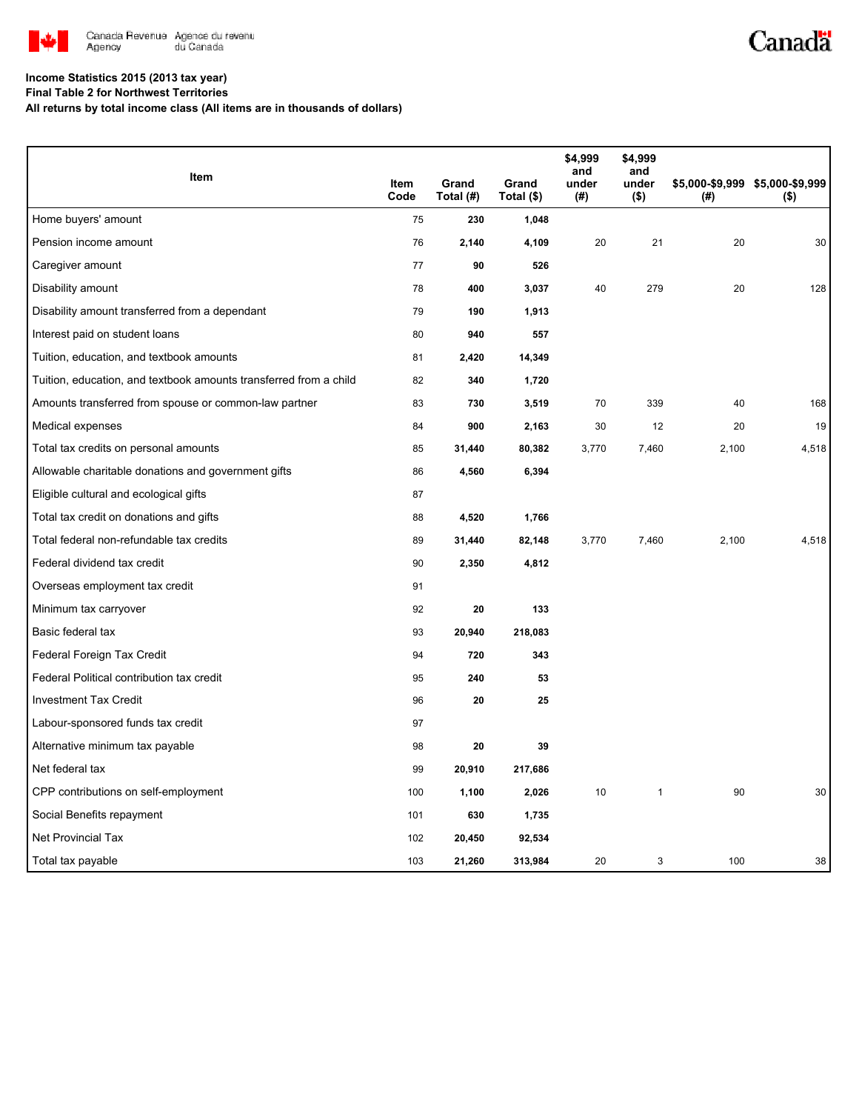

## Canadä

### **Income Statistics 2015 (2013 tax year)**

**Final Table 2 for Northwest Territories**

**All returns by total income class (All items are in thousands of dollars)**

|                                                                   |              |                    |                     | \$4,999<br>and | \$4,999<br>and   |       |                                            |
|-------------------------------------------------------------------|--------------|--------------------|---------------------|----------------|------------------|-------|--------------------------------------------|
| Item                                                              | Item<br>Code | Grand<br>Total (#) | Grand<br>Total (\$) | under<br>(#)   | under<br>$($ \$) | (#)   | \$5,000-\$9,999 \$5,000-\$9,999<br>$($ \$) |
| Home buyers' amount                                               | 75           | 230                | 1,048               |                |                  |       |                                            |
| Pension income amount                                             | 76           | 2,140              | 4,109               | 20             | 21               | 20    | 30                                         |
| Caregiver amount                                                  | 77           | 90                 | 526                 |                |                  |       |                                            |
| Disability amount                                                 | 78           | 400                | 3,037               | 40             | 279              | 20    | 128                                        |
| Disability amount transferred from a dependant                    | 79           | 190                | 1,913               |                |                  |       |                                            |
| Interest paid on student loans                                    | 80           | 940                | 557                 |                |                  |       |                                            |
| Tuition, education, and textbook amounts                          | 81           | 2,420              | 14,349              |                |                  |       |                                            |
| Tuition, education, and textbook amounts transferred from a child | 82           | 340                | 1,720               |                |                  |       |                                            |
| Amounts transferred from spouse or common-law partner             | 83           | 730                | 3,519               | 70             | 339              | 40    | 168                                        |
| Medical expenses                                                  | 84           | 900                | 2,163               | 30             | 12               | 20    | 19                                         |
| Total tax credits on personal amounts                             | 85           | 31,440             | 80,382              | 3,770          | 7,460            | 2,100 | 4,518                                      |
| Allowable charitable donations and government gifts               | 86           | 4,560              | 6,394               |                |                  |       |                                            |
| Eligible cultural and ecological gifts                            | 87           |                    |                     |                |                  |       |                                            |
| Total tax credit on donations and gifts                           | 88           | 4,520              | 1,766               |                |                  |       |                                            |
| Total federal non-refundable tax credits                          | 89           | 31,440             | 82,148              | 3,770          | 7,460            | 2,100 | 4,518                                      |
| Federal dividend tax credit                                       | 90           | 2,350              | 4,812               |                |                  |       |                                            |
| Overseas employment tax credit                                    | 91           |                    |                     |                |                  |       |                                            |
| Minimum tax carryover                                             | 92           | 20                 | 133                 |                |                  |       |                                            |
| Basic federal tax                                                 | 93           | 20,940             | 218,083             |                |                  |       |                                            |
| Federal Foreign Tax Credit                                        | 94           | 720                | 343                 |                |                  |       |                                            |
| Federal Political contribution tax credit                         | 95           | 240                | 53                  |                |                  |       |                                            |
| <b>Investment Tax Credit</b>                                      | 96           | 20                 | 25                  |                |                  |       |                                            |
| Labour-sponsored funds tax credit                                 | 97           |                    |                     |                |                  |       |                                            |
| Alternative minimum tax payable                                   | 98           | 20                 | 39                  |                |                  |       |                                            |
| Net federal tax                                                   | 99           | 20,910             | 217,686             |                |                  |       |                                            |
| CPP contributions on self-employment                              | 100          | 1,100              | 2,026               | 10             | $\mathbf{1}$     | 90    | 30                                         |
| Social Benefits repayment                                         | 101          | 630                | 1,735               |                |                  |       |                                            |
| <b>Net Provincial Tax</b>                                         | 102          | 20,450             | 92,534              |                |                  |       |                                            |
| Total tax payable                                                 | 103          | 21,260             | 313,984             | 20             | 3                | 100   | 38                                         |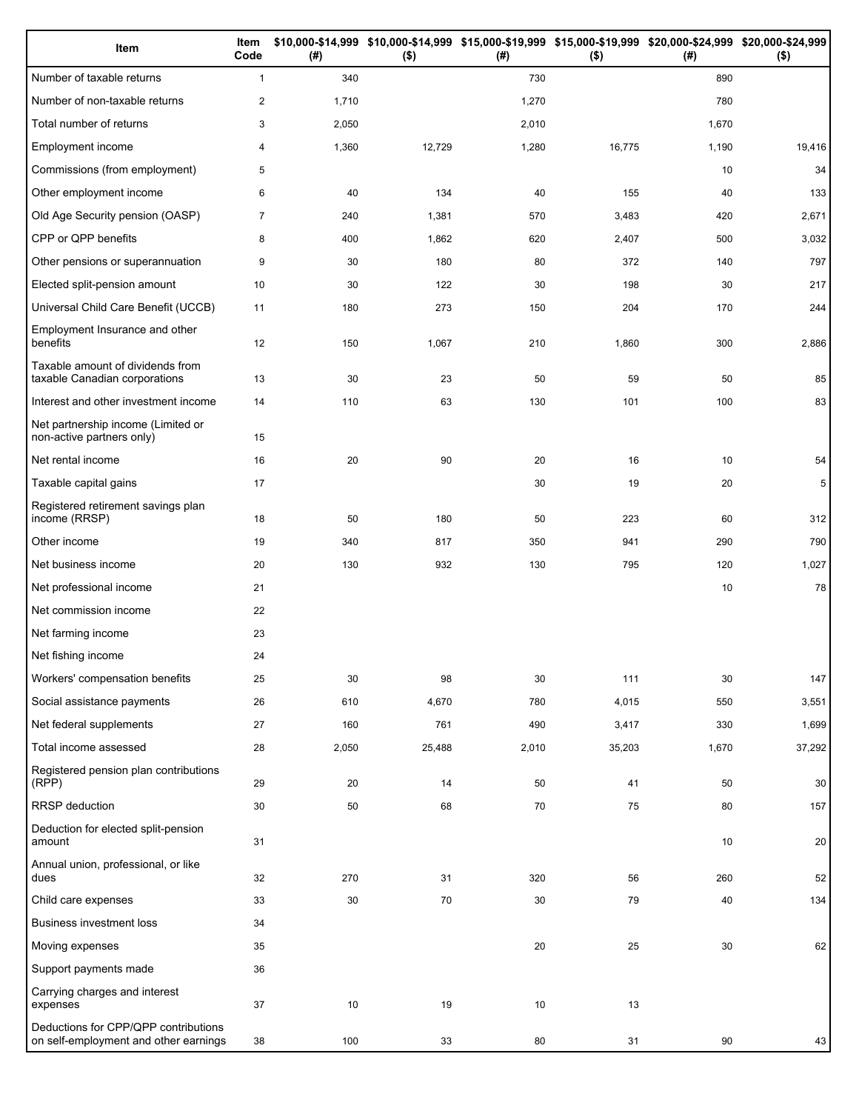| Item                                                                          | Item<br>Code   | (#)   | $($ \$) | (#)   | \$10,000-\$14,999 \$10,000-\$14,999 \$15,000-\$19,999 \$15,000-\$19,999 \$20,000-\$24,999 \$20,000-\$24,999<br>$($ \$) | (# )  | $($ \$) |
|-------------------------------------------------------------------------------|----------------|-------|---------|-------|------------------------------------------------------------------------------------------------------------------------|-------|---------|
| Number of taxable returns                                                     | $\mathbf{1}$   | 340   |         | 730   |                                                                                                                        | 890   |         |
| Number of non-taxable returns                                                 | $\mathbf{2}$   | 1,710 |         | 1,270 |                                                                                                                        | 780   |         |
| Total number of returns                                                       | 3              | 2,050 |         | 2,010 |                                                                                                                        | 1,670 |         |
| Employment income                                                             | 4              | 1,360 | 12,729  | 1,280 | 16,775                                                                                                                 | 1,190 | 19,416  |
| Commissions (from employment)                                                 | 5              |       |         |       |                                                                                                                        | 10    | 34      |
| Other employment income                                                       | 6              | 40    | 134     | 40    | 155                                                                                                                    | 40    | 133     |
| Old Age Security pension (OASP)                                               | $\overline{7}$ | 240   | 1,381   | 570   | 3,483                                                                                                                  | 420   | 2,671   |
| CPP or QPP benefits                                                           | 8              | 400   | 1,862   | 620   | 2,407                                                                                                                  | 500   | 3,032   |
| Other pensions or superannuation                                              | 9              | 30    | 180     | 80    | 372                                                                                                                    | 140   | 797     |
| Elected split-pension amount                                                  | 10             | 30    | 122     | 30    | 198                                                                                                                    | 30    | 217     |
| Universal Child Care Benefit (UCCB)                                           | 11             | 180   | 273     | 150   | 204                                                                                                                    | 170   | 244     |
| Employment Insurance and other<br>benefits                                    | 12             | 150   | 1,067   | 210   | 1,860                                                                                                                  | 300   | 2,886   |
| Taxable amount of dividends from<br>taxable Canadian corporations             | 13             | 30    | 23      | 50    | 59                                                                                                                     | 50    | 85      |
| Interest and other investment income                                          | 14             | 110   | 63      | 130   | 101                                                                                                                    | 100   | 83      |
| Net partnership income (Limited or<br>non-active partners only)               | 15             |       |         |       |                                                                                                                        |       |         |
| Net rental income                                                             | 16             | 20    | 90      | 20    | 16                                                                                                                     | 10    | 54      |
| Taxable capital gains                                                         | 17             |       |         | 30    | 19                                                                                                                     | 20    | 5       |
| Registered retirement savings plan<br>income (RRSP)                           | 18             | 50    | 180     | 50    | 223                                                                                                                    | 60    | 312     |
| Other income                                                                  | 19             | 340   | 817     | 350   | 941                                                                                                                    | 290   | 790     |
| Net business income                                                           | 20             | 130   | 932     | 130   | 795                                                                                                                    | 120   | 1,027   |
| Net professional income                                                       | 21             |       |         |       |                                                                                                                        | 10    | 78      |
| Net commission income                                                         | 22             |       |         |       |                                                                                                                        |       |         |
| Net farming income                                                            | 23             |       |         |       |                                                                                                                        |       |         |
| Net fishing income                                                            | 24             |       |         |       |                                                                                                                        |       |         |
| Workers' compensation benefits                                                | 25             | 30    | 98      | 30    | 111                                                                                                                    | 30    | 147     |
| Social assistance payments                                                    | 26             | 610   | 4,670   | 780   | 4,015                                                                                                                  | 550   | 3,551   |
| Net federal supplements                                                       | 27             | 160   | 761     | 490   | 3,417                                                                                                                  | 330   | 1,699   |
| Total income assessed                                                         | 28             | 2,050 | 25,488  | 2,010 | 35,203                                                                                                                 | 1,670 | 37,292  |
| Registered pension plan contributions<br>(RPP)                                | 29             | 20    | 14      | 50    | 41                                                                                                                     | 50    | 30      |
| RRSP deduction                                                                | 30             | 50    | 68      | 70    | 75                                                                                                                     | 80    | 157     |
| Deduction for elected split-pension<br>amount                                 | 31             |       |         |       |                                                                                                                        | 10    | 20      |
| Annual union, professional, or like<br>dues                                   | 32             | 270   | 31      | 320   | 56                                                                                                                     | 260   | 52      |
| Child care expenses                                                           | 33             | 30    | 70      | 30    | 79                                                                                                                     | 40    | 134     |
| Business investment loss                                                      | 34             |       |         |       |                                                                                                                        |       |         |
| Moving expenses                                                               | 35             |       |         | 20    | 25                                                                                                                     | 30    | 62      |
| Support payments made                                                         | 36             |       |         |       |                                                                                                                        |       |         |
| Carrying charges and interest<br>expenses                                     | $37\,$         | 10    | 19      | 10    | 13                                                                                                                     |       |         |
| Deductions for CPP/QPP contributions<br>on self-employment and other earnings | 38             | 100   | 33      | 80    | 31                                                                                                                     | 90    | 43      |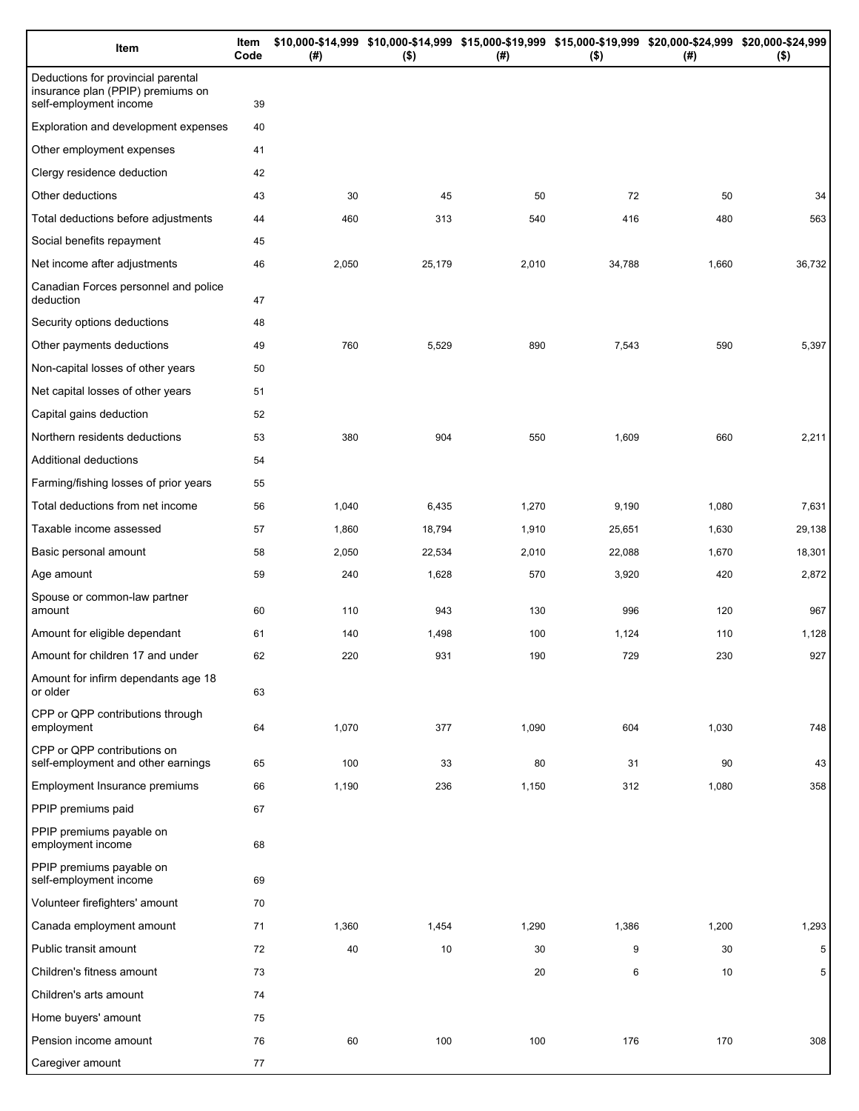| Item                                                                                              | Item<br>Code | (# )  | \$10,000-\$14,999 \$10,000-\$14,999 \$15,000-\$19,999 \$15,000-\$19,999 \$20,000-\$24,999 \$20,000-\$24,999<br>$($ \$) | (#)   | $($ \$) | (# )  | $($ \$)         |
|---------------------------------------------------------------------------------------------------|--------------|-------|------------------------------------------------------------------------------------------------------------------------|-------|---------|-------|-----------------|
| Deductions for provincial parental<br>insurance plan (PPIP) premiums on<br>self-employment income | 39           |       |                                                                                                                        |       |         |       |                 |
| Exploration and development expenses                                                              | 40           |       |                                                                                                                        |       |         |       |                 |
| Other employment expenses                                                                         | 41           |       |                                                                                                                        |       |         |       |                 |
| Clergy residence deduction                                                                        | 42           |       |                                                                                                                        |       |         |       |                 |
| Other deductions                                                                                  | 43           | 30    | 45                                                                                                                     | 50    | 72      | 50    | 34              |
| Total deductions before adjustments                                                               | 44           | 460   | 313                                                                                                                    | 540   | 416     | 480   | 563             |
| Social benefits repayment                                                                         | 45           |       |                                                                                                                        |       |         |       |                 |
| Net income after adjustments                                                                      | 46           | 2,050 | 25,179                                                                                                                 | 2,010 | 34,788  | 1,660 | 36,732          |
| Canadian Forces personnel and police<br>deduction                                                 | 47           |       |                                                                                                                        |       |         |       |                 |
| Security options deductions                                                                       | 48           |       |                                                                                                                        |       |         |       |                 |
| Other payments deductions                                                                         | 49           | 760   | 5,529                                                                                                                  | 890   | 7,543   | 590   | 5,397           |
| Non-capital losses of other years                                                                 | 50           |       |                                                                                                                        |       |         |       |                 |
| Net capital losses of other years                                                                 | 51           |       |                                                                                                                        |       |         |       |                 |
| Capital gains deduction                                                                           | 52           |       |                                                                                                                        |       |         |       |                 |
| Northern residents deductions                                                                     | 53           | 380   | 904                                                                                                                    | 550   | 1,609   | 660   | 2,211           |
| Additional deductions                                                                             | 54           |       |                                                                                                                        |       |         |       |                 |
| Farming/fishing losses of prior years                                                             | 55           |       |                                                                                                                        |       |         |       |                 |
| Total deductions from net income                                                                  | 56           | 1,040 | 6,435                                                                                                                  | 1,270 | 9,190   | 1,080 | 7,631           |
| Taxable income assessed                                                                           | 57           | 1,860 | 18,794                                                                                                                 | 1,910 | 25,651  | 1,630 | 29,138          |
| Basic personal amount                                                                             | 58           | 2,050 | 22,534                                                                                                                 | 2,010 | 22,088  | 1,670 | 18,301          |
| Age amount                                                                                        | 59           | 240   | 1,628                                                                                                                  | 570   | 3,920   | 420   | 2,872           |
| Spouse or common-law partner<br>amount                                                            | 60           | 110   | 943                                                                                                                    | 130   | 996     | 120   | 967             |
| Amount for eligible dependant                                                                     | 61           | 140   | 1,498                                                                                                                  | 100   | 1,124   | 110   | 1,128           |
| Amount for children 17 and under                                                                  | 62           | 220   | 931                                                                                                                    | 190   | 729     | 230   | 927             |
| Amount for infirm dependants age 18<br>or older                                                   | 63           |       |                                                                                                                        |       |         |       |                 |
| CPP or QPP contributions through<br>employment                                                    | 64           | 1,070 | 377                                                                                                                    | 1,090 | 604     | 1,030 | 748             |
| CPP or QPP contributions on<br>self-employment and other earnings                                 | 65           | 100   | 33                                                                                                                     | 80    | 31      | 90    | 43              |
| Employment Insurance premiums                                                                     | 66           | 1,190 | 236                                                                                                                    | 1,150 | 312     | 1,080 | 358             |
| PPIP premiums paid                                                                                | 67           |       |                                                                                                                        |       |         |       |                 |
| PPIP premiums payable on<br>employment income                                                     | 68           |       |                                                                                                                        |       |         |       |                 |
| PPIP premiums payable on<br>self-employment income                                                | 69           |       |                                                                                                                        |       |         |       |                 |
| Volunteer firefighters' amount                                                                    | 70           |       |                                                                                                                        |       |         |       |                 |
| Canada employment amount                                                                          | 71           | 1,360 | 1,454                                                                                                                  | 1,290 | 1,386   | 1,200 | 1,293           |
| Public transit amount                                                                             | 72           | 40    | 10                                                                                                                     | 30    | 9       | 30    | $5\phantom{.0}$ |
| Children's fitness amount                                                                         | 73           |       |                                                                                                                        | 20    | 6       | 10    | 5               |
| Children's arts amount                                                                            | 74           |       |                                                                                                                        |       |         |       |                 |
| Home buyers' amount                                                                               | 75           |       |                                                                                                                        |       |         |       |                 |
| Pension income amount                                                                             | 76           | 60    | 100                                                                                                                    | 100   | 176     | 170   | 308             |
| Caregiver amount                                                                                  | 77           |       |                                                                                                                        |       |         |       |                 |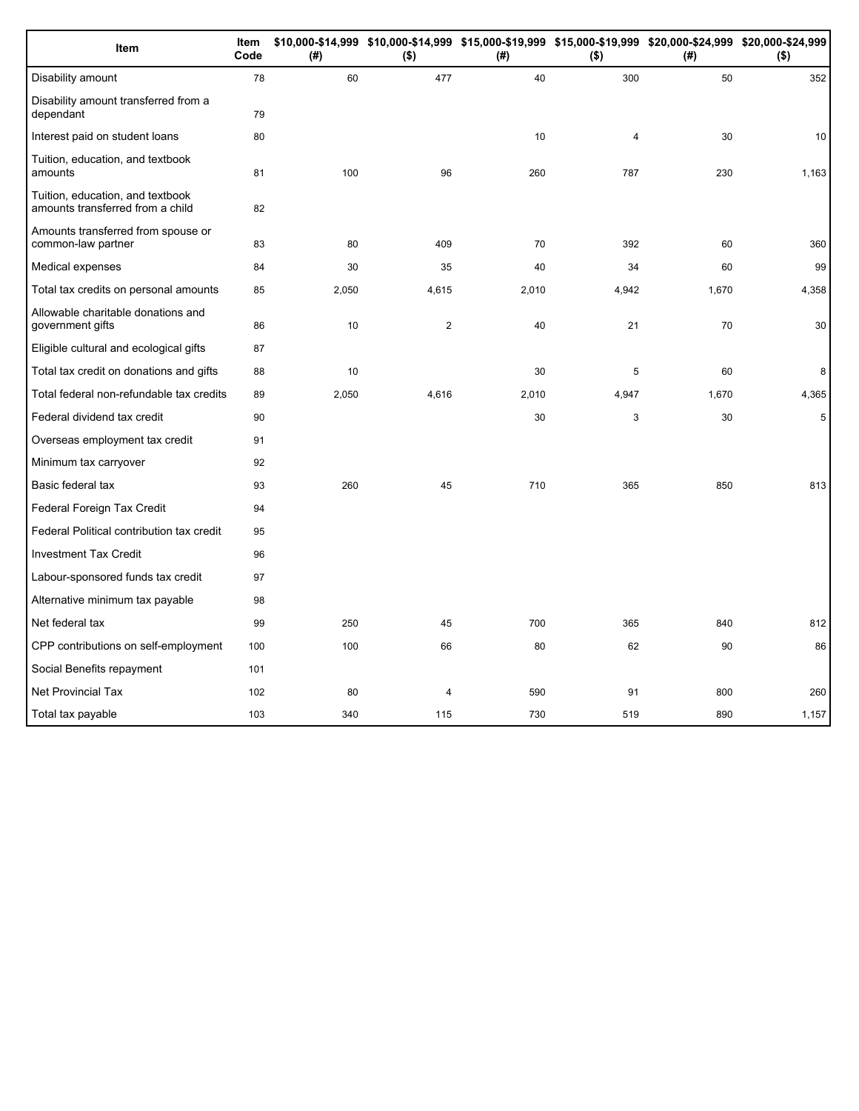| Item                                                                 | Item<br>Code | (#)   | \$10,000-\$14,999 \$10,000-\$14,999 \$15,000-\$19,999 \$15,000-\$19,999 \$20,000-\$24,999 \$20,000-\$24,999<br>$($ \$) | (#)   | $($ \$)        | (# )  | $($ \$) |
|----------------------------------------------------------------------|--------------|-------|------------------------------------------------------------------------------------------------------------------------|-------|----------------|-------|---------|
| Disability amount                                                    | 78           | 60    | 477                                                                                                                    | 40    | 300            | 50    | 352     |
| Disability amount transferred from a<br>dependant                    | 79           |       |                                                                                                                        |       |                |       |         |
| Interest paid on student loans                                       | 80           |       |                                                                                                                        | 10    | $\overline{4}$ | 30    | 10      |
| Tuition, education, and textbook<br>amounts                          | 81           | 100   | 96                                                                                                                     | 260   | 787            | 230   | 1,163   |
| Tuition, education, and textbook<br>amounts transferred from a child | 82           |       |                                                                                                                        |       |                |       |         |
| Amounts transferred from spouse or<br>common-law partner             | 83           | 80    | 409                                                                                                                    | 70    | 392            | 60    | 360     |
| Medical expenses                                                     | 84           | 30    | 35                                                                                                                     | 40    | 34             | 60    | 99      |
| Total tax credits on personal amounts                                | 85           | 2,050 | 4,615                                                                                                                  | 2,010 | 4,942          | 1,670 | 4,358   |
| Allowable charitable donations and<br>government gifts               | 86           | 10    | $\mathbf{2}$                                                                                                           | 40    | 21             | 70    | 30      |
| Eligible cultural and ecological gifts                               | 87           |       |                                                                                                                        |       |                |       |         |
| Total tax credit on donations and gifts                              | 88           | 10    |                                                                                                                        | 30    | 5              | 60    | 8       |
| Total federal non-refundable tax credits                             | 89           | 2,050 | 4,616                                                                                                                  | 2,010 | 4,947          | 1,670 | 4,365   |
| Federal dividend tax credit                                          | 90           |       |                                                                                                                        | 30    | $\mathsf 3$    | 30    | 5       |
| Overseas employment tax credit                                       | 91           |       |                                                                                                                        |       |                |       |         |
| Minimum tax carryover                                                | 92           |       |                                                                                                                        |       |                |       |         |
| Basic federal tax                                                    | 93           | 260   | 45                                                                                                                     | 710   | 365            | 850   | 813     |
| Federal Foreign Tax Credit                                           | 94           |       |                                                                                                                        |       |                |       |         |
| Federal Political contribution tax credit                            | 95           |       |                                                                                                                        |       |                |       |         |
| <b>Investment Tax Credit</b>                                         | 96           |       |                                                                                                                        |       |                |       |         |
| Labour-sponsored funds tax credit                                    | 97           |       |                                                                                                                        |       |                |       |         |
| Alternative minimum tax payable                                      | 98           |       |                                                                                                                        |       |                |       |         |
| Net federal tax                                                      | 99           | 250   | 45                                                                                                                     | 700   | 365            | 840   | 812     |
| CPP contributions on self-employment                                 | 100          | 100   | 66                                                                                                                     | 80    | 62             | 90    | 86      |
| Social Benefits repayment                                            | 101          |       |                                                                                                                        |       |                |       |         |
| <b>Net Provincial Tax</b>                                            | 102          | 80    | $\overline{\mathbf{4}}$                                                                                                | 590   | 91             | 800   | 260     |
| Total tax payable                                                    | 103          | 340   | 115                                                                                                                    | 730   | 519            | 890   | 1,157   |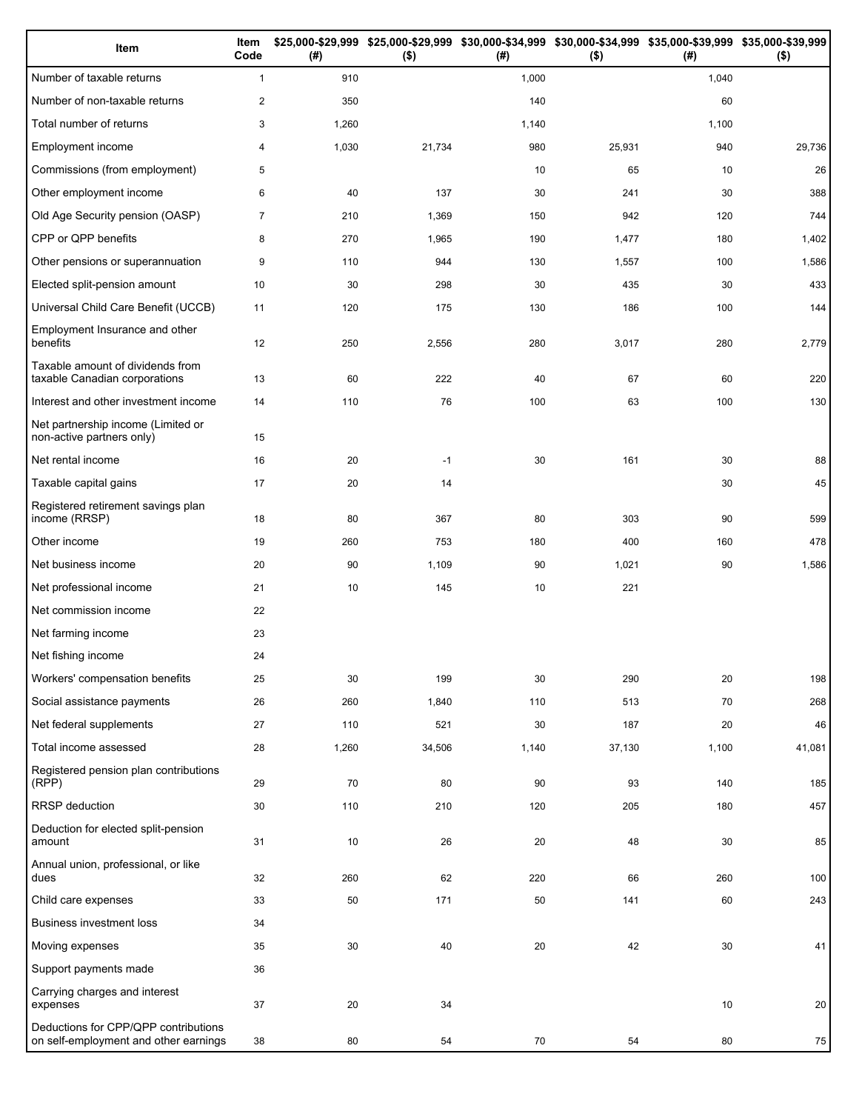| Item                                                                          | Item<br>Code   | (#)    | $($ \$) | (#)   | \$25,000-\$29,999 \$25,000-\$29,999 \$30,000-\$34,999 \$30,000-\$34,999 \$35,000-\$39,999 \$35,000-\$39,999<br>$($ \$) | (# )  | $($ \$) |
|-------------------------------------------------------------------------------|----------------|--------|---------|-------|------------------------------------------------------------------------------------------------------------------------|-------|---------|
| Number of taxable returns                                                     | $\mathbf{1}$   | 910    |         | 1,000 |                                                                                                                        | 1,040 |         |
| Number of non-taxable returns                                                 | $\overline{c}$ | 350    |         | 140   |                                                                                                                        | 60    |         |
| Total number of returns                                                       | 3              | 1,260  |         | 1,140 |                                                                                                                        | 1,100 |         |
| Employment income                                                             | 4              | 1,030  | 21,734  | 980   | 25,931                                                                                                                 | 940   | 29,736  |
| Commissions (from employment)                                                 | 5              |        |         | 10    | 65                                                                                                                     | 10    | 26      |
| Other employment income                                                       | 6              | 40     | 137     | 30    | 241                                                                                                                    | 30    | 388     |
| Old Age Security pension (OASP)                                               | $\overline{7}$ | 210    | 1,369   | 150   | 942                                                                                                                    | 120   | 744     |
| CPP or QPP benefits                                                           | 8              | 270    | 1,965   | 190   | 1,477                                                                                                                  | 180   | 1,402   |
| Other pensions or superannuation                                              | 9              | 110    | 944     | 130   | 1,557                                                                                                                  | 100   | 1,586   |
| Elected split-pension amount                                                  | 10             | 30     | 298     | 30    | 435                                                                                                                    | 30    | 433     |
| Universal Child Care Benefit (UCCB)                                           | 11             | 120    | 175     | 130   | 186                                                                                                                    | 100   | 144     |
| Employment Insurance and other<br>benefits                                    | 12             | 250    | 2,556   | 280   | 3,017                                                                                                                  | 280   | 2,779   |
| Taxable amount of dividends from<br>taxable Canadian corporations             | 13             | 60     | 222     | 40    | 67                                                                                                                     | 60    | 220     |
| Interest and other investment income                                          | 14             | 110    | 76      | 100   | 63                                                                                                                     | 100   | 130     |
| Net partnership income (Limited or<br>non-active partners only)               | 15             |        |         |       |                                                                                                                        |       |         |
| Net rental income                                                             | 16             | 20     | $-1$    | 30    | 161                                                                                                                    | 30    | 88      |
| Taxable capital gains                                                         | 17             | 20     | 14      |       |                                                                                                                        | 30    | 45      |
| Registered retirement savings plan<br>income (RRSP)                           | 18             | 80     | 367     | 80    | 303                                                                                                                    | 90    | 599     |
| Other income                                                                  | 19             | 260    | 753     | 180   | 400                                                                                                                    | 160   | 478     |
| Net business income                                                           | 20             | 90     | 1,109   | 90    | 1,021                                                                                                                  | 90    | 1,586   |
| Net professional income                                                       | 21             | 10     | 145     | 10    | 221                                                                                                                    |       |         |
| Net commission income                                                         | 22             |        |         |       |                                                                                                                        |       |         |
| Net farming income                                                            | 23             |        |         |       |                                                                                                                        |       |         |
| Net fishing income                                                            | 24             |        |         |       |                                                                                                                        |       |         |
| Workers' compensation benefits                                                | 25             | 30     | 199     | 30    | 290                                                                                                                    | 20    | 198     |
| Social assistance payments                                                    | 26             | 260    | 1,840   | 110   | 513                                                                                                                    | 70    | 268     |
| Net federal supplements                                                       | 27             | 110    | 521     | 30    | 187                                                                                                                    | 20    | 46      |
| Total income assessed                                                         | 28             | 1,260  | 34,506  | 1,140 | 37,130                                                                                                                 | 1,100 | 41,081  |
| Registered pension plan contributions<br>(RPP)                                | 29             | 70     | 80      | 90    | 93                                                                                                                     | 140   | 185     |
| RRSP deduction                                                                | 30             | 110    | 210     | 120   | 205                                                                                                                    | 180   | 457     |
| Deduction for elected split-pension<br>amount                                 | 31             | 10     | 26      | 20    | 48                                                                                                                     | 30    | 85      |
| Annual union, professional, or like<br>dues                                   | 32             | 260    | 62      | 220   | 66                                                                                                                     | 260   | 100     |
| Child care expenses                                                           | 33             | 50     | 171     | 50    | 141                                                                                                                    | 60    | 243     |
| <b>Business investment loss</b>                                               | 34             |        |         |       |                                                                                                                        |       |         |
| Moving expenses                                                               | 35             | $30\,$ | 40      | 20    | 42                                                                                                                     | 30    | 41      |
| Support payments made                                                         | 36             |        |         |       |                                                                                                                        |       |         |
| Carrying charges and interest<br>expenses                                     | 37             | 20     | 34      |       |                                                                                                                        | 10    | 20      |
| Deductions for CPP/QPP contributions<br>on self-employment and other earnings | 38             | 80     | 54      | 70    | 54                                                                                                                     | 80    | 75      |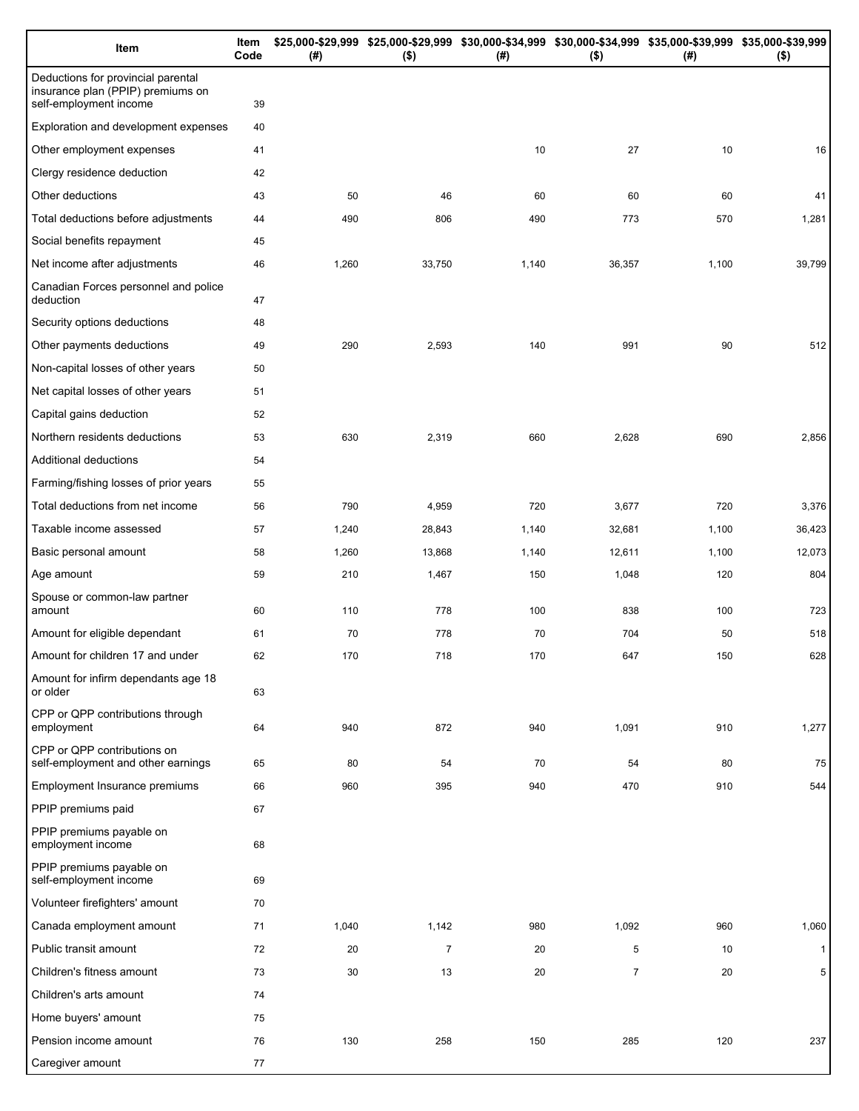| Item                                                                                              | Item<br>Code | (# )  | \$25,000-\$29,999 \$25,000-\$29,999 \$30,000-\$34,999 \$30,000-\$34,999 \$35,000-\$39,999 \$35,000-\$39,999<br>$($ \$) | (#)   | $($ \$)        | (# )  | $($ \$)      |
|---------------------------------------------------------------------------------------------------|--------------|-------|------------------------------------------------------------------------------------------------------------------------|-------|----------------|-------|--------------|
| Deductions for provincial parental<br>insurance plan (PPIP) premiums on<br>self-employment income | 39           |       |                                                                                                                        |       |                |       |              |
| Exploration and development expenses                                                              | 40           |       |                                                                                                                        |       |                |       |              |
| Other employment expenses                                                                         | 41           |       |                                                                                                                        | 10    | 27             | 10    | 16           |
| Clergy residence deduction                                                                        | 42           |       |                                                                                                                        |       |                |       |              |
| Other deductions                                                                                  | 43           | 50    | 46                                                                                                                     | 60    | 60             | 60    | 41           |
| Total deductions before adjustments                                                               | 44           | 490   | 806                                                                                                                    | 490   | 773            | 570   | 1,281        |
| Social benefits repayment                                                                         | 45           |       |                                                                                                                        |       |                |       |              |
| Net income after adjustments                                                                      | 46           | 1,260 | 33,750                                                                                                                 | 1,140 | 36,357         | 1,100 | 39,799       |
| Canadian Forces personnel and police<br>deduction                                                 | 47           |       |                                                                                                                        |       |                |       |              |
| Security options deductions                                                                       | 48           |       |                                                                                                                        |       |                |       |              |
| Other payments deductions                                                                         | 49           | 290   | 2,593                                                                                                                  | 140   | 991            | 90    | 512          |
| Non-capital losses of other years                                                                 | 50           |       |                                                                                                                        |       |                |       |              |
| Net capital losses of other years                                                                 | 51           |       |                                                                                                                        |       |                |       |              |
| Capital gains deduction                                                                           | 52           |       |                                                                                                                        |       |                |       |              |
| Northern residents deductions                                                                     | 53           | 630   | 2,319                                                                                                                  | 660   | 2,628          | 690   | 2,856        |
| Additional deductions                                                                             | 54           |       |                                                                                                                        |       |                |       |              |
| Farming/fishing losses of prior years                                                             | 55           |       |                                                                                                                        |       |                |       |              |
| Total deductions from net income                                                                  | 56           | 790   | 4,959                                                                                                                  | 720   | 3,677          | 720   | 3,376        |
| Taxable income assessed                                                                           | 57           | 1,240 | 28,843                                                                                                                 | 1,140 | 32,681         | 1,100 | 36,423       |
| Basic personal amount                                                                             | 58           | 1,260 | 13,868                                                                                                                 | 1,140 | 12,611         | 1,100 | 12,073       |
| Age amount                                                                                        | 59           | 210   | 1,467                                                                                                                  | 150   | 1,048          | 120   | 804          |
| Spouse or common-law partner<br>amount                                                            | 60           | 110   | 778                                                                                                                    | 100   | 838            | 100   | 723          |
| Amount for eligible dependant                                                                     | 61           | 70    | 778                                                                                                                    | 70    | 704            | 50    | 518          |
| Amount for children 17 and under                                                                  | 62           | 170   | 718                                                                                                                    | 170   | 647            | 150   | 628          |
| Amount for infirm dependants age 18<br>or older                                                   | 63           |       |                                                                                                                        |       |                |       |              |
| CPP or QPP contributions through<br>employment                                                    | 64           | 940   | 872                                                                                                                    | 940   | 1,091          | 910   | 1,277        |
| CPP or QPP contributions on<br>self-employment and other earnings                                 | 65           | 80    | 54                                                                                                                     | 70    | 54             | 80    | 75           |
| Employment Insurance premiums                                                                     | 66           | 960   | 395                                                                                                                    | 940   | 470            | 910   | 544          |
| PPIP premiums paid                                                                                | 67           |       |                                                                                                                        |       |                |       |              |
| PPIP premiums payable on<br>employment income                                                     | 68           |       |                                                                                                                        |       |                |       |              |
| PPIP premiums payable on<br>self-employment income                                                | 69           |       |                                                                                                                        |       |                |       |              |
| Volunteer firefighters' amount                                                                    | 70           |       |                                                                                                                        |       |                |       |              |
| Canada employment amount                                                                          | 71           | 1,040 | 1,142                                                                                                                  | 980   | 1,092          | 960   | 1,060        |
| Public transit amount                                                                             | 72           | 20    | $\overline{7}$                                                                                                         | 20    | 5              | 10    | $\mathbf{1}$ |
| Children's fitness amount                                                                         | 73           | 30    | 13                                                                                                                     | 20    | $\overline{7}$ | 20    | 5            |
| Children's arts amount                                                                            | 74           |       |                                                                                                                        |       |                |       |              |
| Home buyers' amount                                                                               | 75           |       |                                                                                                                        |       |                |       |              |
| Pension income amount                                                                             | 76           | 130   | 258                                                                                                                    | 150   | 285            | 120   | 237          |
| Caregiver amount                                                                                  | 77           |       |                                                                                                                        |       |                |       |              |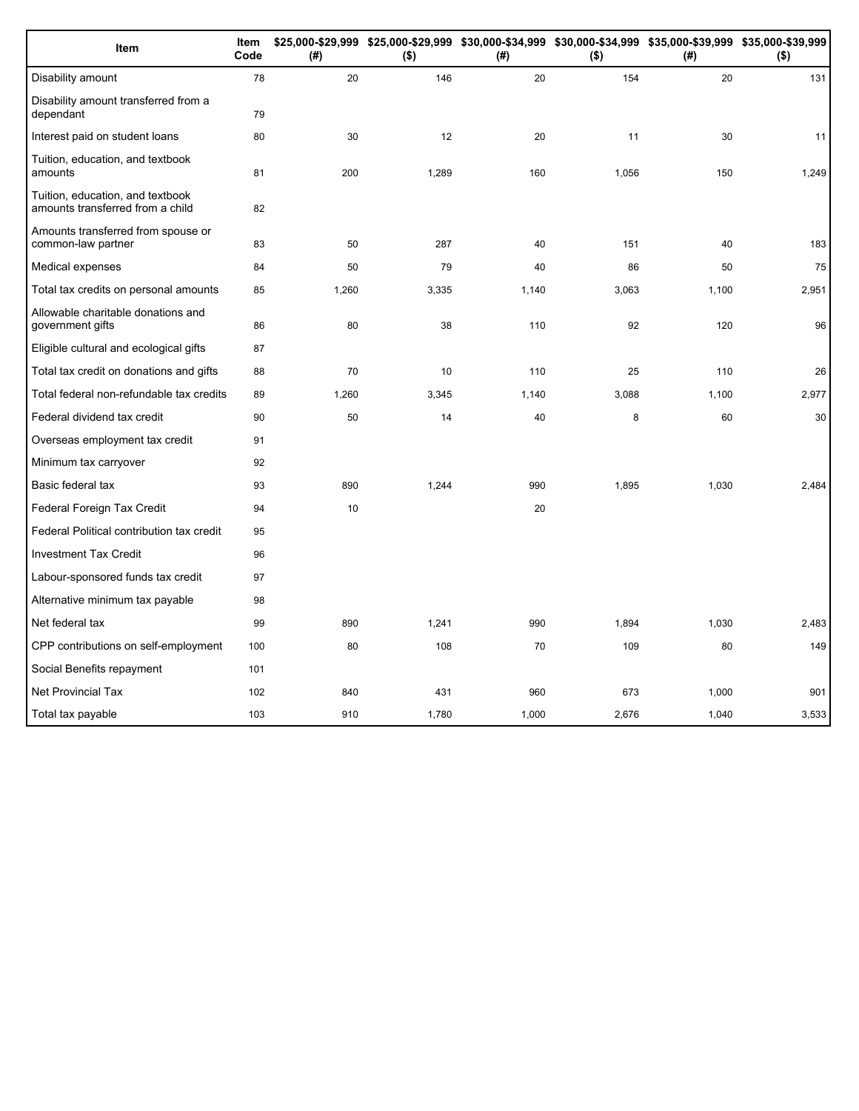| Item                                                                 | Item<br>Code | (#)   | \$25,000-\$29,999 \$25,000-\$29,999 \$30,000-\$34,999 \$30,000-\$34,999 \$35,000-\$39,999 \$35,000-\$39,999<br>$($ \$) | (# )  | $($ \$) | (#)   | $($ \$) |
|----------------------------------------------------------------------|--------------|-------|------------------------------------------------------------------------------------------------------------------------|-------|---------|-------|---------|
| Disability amount                                                    | 78           | 20    | 146                                                                                                                    | 20    | 154     | 20    | 131     |
| Disability amount transferred from a<br>dependant                    | 79           |       |                                                                                                                        |       |         |       |         |
| Interest paid on student loans                                       | 80           | 30    | 12                                                                                                                     | 20    | 11      | 30    | 11      |
| Tuition, education, and textbook<br>amounts                          | 81           | 200   | 1,289                                                                                                                  | 160   | 1,056   | 150   | 1,249   |
| Tuition, education, and textbook<br>amounts transferred from a child | 82           |       |                                                                                                                        |       |         |       |         |
| Amounts transferred from spouse or<br>common-law partner             | 83           | 50    | 287                                                                                                                    | 40    | 151     | 40    | 183     |
| Medical expenses                                                     | 84           | 50    | 79                                                                                                                     | 40    | 86      | 50    | 75      |
| Total tax credits on personal amounts                                | 85           | 1,260 | 3,335                                                                                                                  | 1,140 | 3,063   | 1,100 | 2,951   |
| Allowable charitable donations and<br>government gifts               | 86           | 80    | 38                                                                                                                     | 110   | 92      | 120   | 96      |
| Eligible cultural and ecological gifts                               | 87           |       |                                                                                                                        |       |         |       |         |
| Total tax credit on donations and gifts                              | 88           | 70    | 10                                                                                                                     | 110   | 25      | 110   | 26      |
| Total federal non-refundable tax credits                             | 89           | 1,260 | 3,345                                                                                                                  | 1,140 | 3,088   | 1,100 | 2,977   |
| Federal dividend tax credit                                          | 90           | 50    | 14                                                                                                                     | 40    | 8       | 60    | 30      |
| Overseas employment tax credit                                       | 91           |       |                                                                                                                        |       |         |       |         |
| Minimum tax carryover                                                | 92           |       |                                                                                                                        |       |         |       |         |
| Basic federal tax                                                    | 93           | 890   | 1,244                                                                                                                  | 990   | 1,895   | 1,030 | 2,484   |
| Federal Foreign Tax Credit                                           | 94           | 10    |                                                                                                                        | 20    |         |       |         |
| Federal Political contribution tax credit                            | 95           |       |                                                                                                                        |       |         |       |         |
| <b>Investment Tax Credit</b>                                         | 96           |       |                                                                                                                        |       |         |       |         |
| Labour-sponsored funds tax credit                                    | 97           |       |                                                                                                                        |       |         |       |         |
| Alternative minimum tax payable                                      | 98           |       |                                                                                                                        |       |         |       |         |
| Net federal tax                                                      | 99           | 890   | 1,241                                                                                                                  | 990   | 1,894   | 1,030 | 2,483   |
| CPP contributions on self-employment                                 | 100          | 80    | 108                                                                                                                    | 70    | 109     | 80    | 149     |
| Social Benefits repayment                                            | 101          |       |                                                                                                                        |       |         |       |         |
| <b>Net Provincial Tax</b>                                            | 102          | 840   | 431                                                                                                                    | 960   | 673     | 1,000 | 901     |
| Total tax payable                                                    | 103          | 910   | 1,780                                                                                                                  | 1,000 | 2,676   | 1,040 | 3,533   |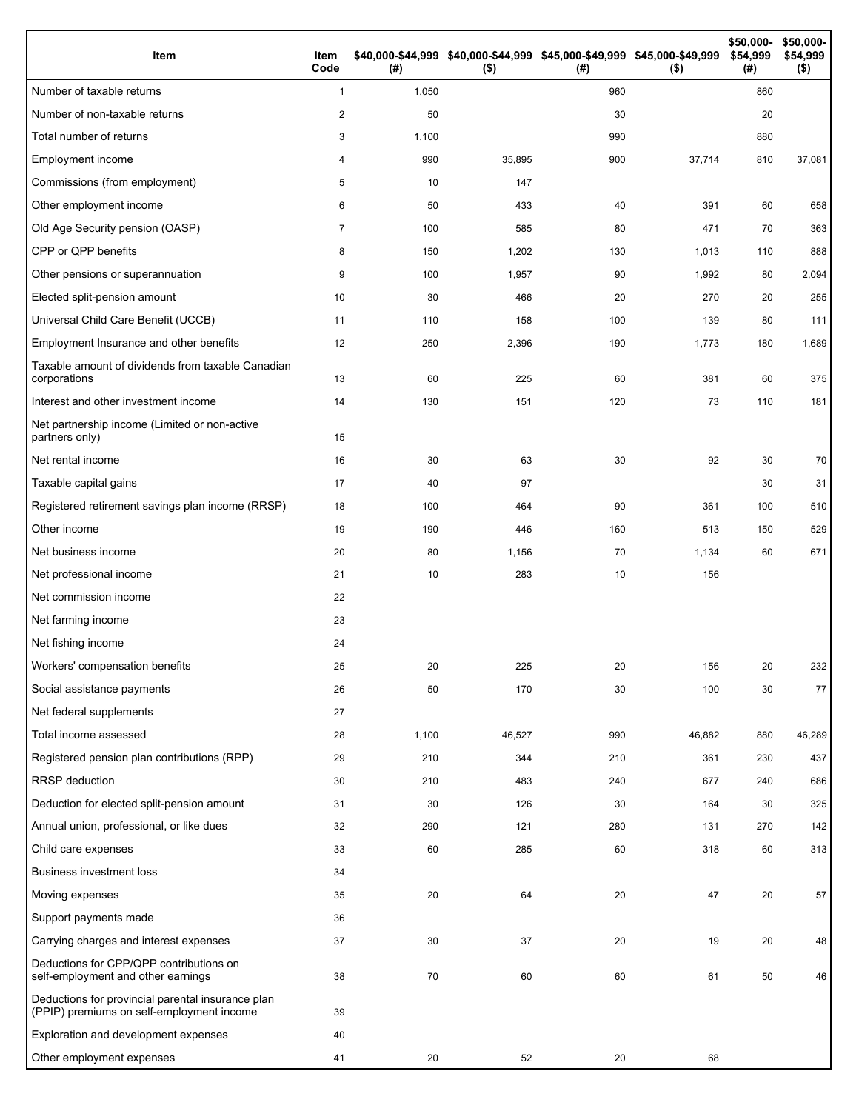| Item                                                                                           | Item<br>Code   | (#)   | \$40,000-\$44,999 \$40,000-\$44,999 \$45,000-\$49,999 \$45,000-\$49,999<br>$($ \$) | (#) | $($ \$) | \$50,000-<br>\$54,999<br>(# ) | \$50,000-<br>\$54,999<br>$($ \$) |
|------------------------------------------------------------------------------------------------|----------------|-------|------------------------------------------------------------------------------------|-----|---------|-------------------------------|----------------------------------|
| Number of taxable returns                                                                      | $\mathbf{1}$   | 1,050 |                                                                                    | 960 |         | 860                           |                                  |
| Number of non-taxable returns                                                                  | $\mathbf{2}$   | 50    |                                                                                    | 30  |         | 20                            |                                  |
| Total number of returns                                                                        | 3              | 1,100 |                                                                                    | 990 |         | 880                           |                                  |
| Employment income                                                                              | 4              | 990   | 35,895                                                                             | 900 | 37,714  | 810                           | 37,081                           |
| Commissions (from employment)                                                                  | 5              | 10    | 147                                                                                |     |         |                               |                                  |
| Other employment income                                                                        | 6              | 50    | 433                                                                                | 40  | 391     | 60                            | 658                              |
| Old Age Security pension (OASP)                                                                | $\overline{7}$ | 100   | 585                                                                                | 80  | 471     | 70                            | 363                              |
| CPP or QPP benefits                                                                            | 8              | 150   | 1,202                                                                              | 130 | 1,013   | 110                           | 888                              |
| Other pensions or superannuation                                                               | 9              | 100   | 1,957                                                                              | 90  | 1,992   | 80                            | 2,094                            |
| Elected split-pension amount                                                                   | 10             | 30    | 466                                                                                | 20  | 270     | 20                            | 255                              |
| Universal Child Care Benefit (UCCB)                                                            | 11             | 110   | 158                                                                                | 100 | 139     | 80                            | 111                              |
| Employment Insurance and other benefits                                                        | 12             | 250   | 2,396                                                                              | 190 | 1,773   | 180                           | 1,689                            |
| Taxable amount of dividends from taxable Canadian<br>corporations                              | 13             | 60    | 225                                                                                | 60  | 381     | 60                            | 375                              |
| Interest and other investment income                                                           | 14             | 130   | 151                                                                                | 120 | 73      | 110                           | 181                              |
| Net partnership income (Limited or non-active<br>partners only)                                | 15             |       |                                                                                    |     |         |                               |                                  |
| Net rental income                                                                              | 16             | 30    | 63                                                                                 | 30  | 92      | 30                            | 70                               |
| Taxable capital gains                                                                          | 17             | 40    | 97                                                                                 |     |         | 30                            | 31                               |
| Registered retirement savings plan income (RRSP)                                               | 18             | 100   | 464                                                                                | 90  | 361     | 100                           | 510                              |
| Other income                                                                                   | 19             | 190   | 446                                                                                | 160 | 513     | 150                           | 529                              |
| Net business income                                                                            | 20             | 80    | 1,156                                                                              | 70  | 1,134   | 60                            | 671                              |
| Net professional income                                                                        | 21             | 10    | 283                                                                                | 10  | 156     |                               |                                  |
| Net commission income                                                                          | 22             |       |                                                                                    |     |         |                               |                                  |
| Net farming income                                                                             | 23             |       |                                                                                    |     |         |                               |                                  |
| Net fishing income                                                                             | 24             |       |                                                                                    |     |         |                               |                                  |
| Workers' compensation benefits                                                                 | 25             | 20    | 225                                                                                | 20  | 156     | 20                            | 232                              |
| Social assistance payments                                                                     | 26             | 50    | 170                                                                                | 30  | 100     | 30                            | 77                               |
| Net federal supplements                                                                        | 27             |       |                                                                                    |     |         |                               |                                  |
| Total income assessed                                                                          | 28             | 1,100 | 46,527                                                                             | 990 | 46,882  | 880                           | 46,289                           |
| Registered pension plan contributions (RPP)                                                    | 29             | 210   | 344                                                                                | 210 | 361     | 230                           | 437                              |
| RRSP deduction                                                                                 | 30             | 210   | 483                                                                                | 240 | 677     | 240                           | 686                              |
| Deduction for elected split-pension amount                                                     | 31             | 30    | 126                                                                                | 30  | 164     | 30                            | 325                              |
| Annual union, professional, or like dues                                                       | 32             | 290   | 121                                                                                | 280 | 131     | 270                           | 142                              |
| Child care expenses                                                                            | 33             | 60    | 285                                                                                | 60  | 318     | 60                            | 313                              |
| <b>Business investment loss</b>                                                                | 34             |       |                                                                                    |     |         |                               |                                  |
| Moving expenses                                                                                | 35             | 20    | 64                                                                                 | 20  | 47      | 20                            | 57                               |
| Support payments made                                                                          | 36             |       |                                                                                    |     |         |                               |                                  |
| Carrying charges and interest expenses                                                         | 37             | 30    | 37                                                                                 | 20  | 19      | 20                            | 48                               |
| Deductions for CPP/QPP contributions on<br>self-employment and other earnings                  | 38             | 70    | 60                                                                                 | 60  | 61      | 50                            | 46                               |
| Deductions for provincial parental insurance plan<br>(PPIP) premiums on self-employment income | 39             |       |                                                                                    |     |         |                               |                                  |
| Exploration and development expenses                                                           | 40             |       |                                                                                    |     |         |                               |                                  |
| Other employment expenses                                                                      | 41             | 20    | 52                                                                                 | 20  | 68      |                               |                                  |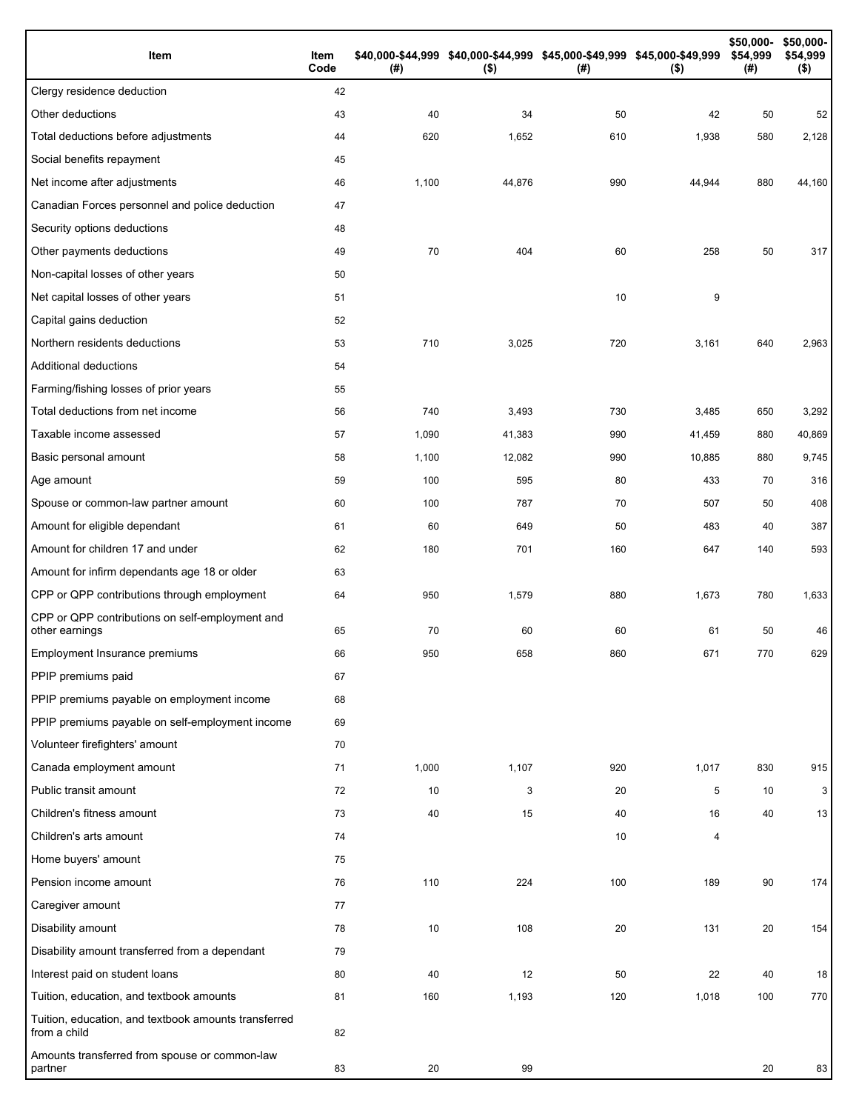| Item                                                                 | Item<br>Code | (#)   | \$40,000-\$44,999 \$40,000-\$44,999 \$45,000-\$49,999 \$45,000-\$49,999<br>$($ \$) | (#) | $($ \$) | \$50,000-<br>\$54,999<br>(#) | \$50,000-<br>\$54,999<br>$($ \$) |
|----------------------------------------------------------------------|--------------|-------|------------------------------------------------------------------------------------|-----|---------|------------------------------|----------------------------------|
| Clergy residence deduction                                           | 42           |       |                                                                                    |     |         |                              |                                  |
| Other deductions                                                     | 43           | 40    | 34                                                                                 | 50  | 42      | 50                           | 52                               |
| Total deductions before adjustments                                  | 44           | 620   | 1,652                                                                              | 610 | 1,938   | 580                          | 2,128                            |
| Social benefits repayment                                            | 45           |       |                                                                                    |     |         |                              |                                  |
| Net income after adjustments                                         | 46           | 1,100 | 44,876                                                                             | 990 | 44,944  | 880                          | 44,160                           |
| Canadian Forces personnel and police deduction                       | 47           |       |                                                                                    |     |         |                              |                                  |
| Security options deductions                                          | 48           |       |                                                                                    |     |         |                              |                                  |
| Other payments deductions                                            | 49           | 70    | 404                                                                                | 60  | 258     | 50                           | 317                              |
| Non-capital losses of other years                                    | 50           |       |                                                                                    |     |         |                              |                                  |
| Net capital losses of other years                                    | 51           |       |                                                                                    | 10  | 9       |                              |                                  |
| Capital gains deduction                                              | 52           |       |                                                                                    |     |         |                              |                                  |
| Northern residents deductions                                        | 53           | 710   | 3,025                                                                              | 720 | 3,161   | 640                          | 2,963                            |
| Additional deductions                                                | 54           |       |                                                                                    |     |         |                              |                                  |
| Farming/fishing losses of prior years                                | 55           |       |                                                                                    |     |         |                              |                                  |
| Total deductions from net income                                     | 56           | 740   | 3,493                                                                              | 730 | 3,485   | 650                          | 3,292                            |
| Taxable income assessed                                              | 57           | 1,090 | 41,383                                                                             | 990 | 41,459  | 880                          | 40,869                           |
| Basic personal amount                                                | 58           | 1,100 | 12,082                                                                             | 990 | 10,885  | 880                          | 9,745                            |
| Age amount                                                           | 59           | 100   | 595                                                                                | 80  | 433     | 70                           | 316                              |
| Spouse or common-law partner amount                                  | 60           | 100   | 787                                                                                | 70  | 507     | 50                           | 408                              |
| Amount for eligible dependant                                        | 61           | 60    | 649                                                                                | 50  | 483     | 40                           | 387                              |
| Amount for children 17 and under                                     | 62           | 180   | 701                                                                                | 160 | 647     | 140                          | 593                              |
| Amount for infirm dependants age 18 or older                         | 63           |       |                                                                                    |     |         |                              |                                  |
| CPP or QPP contributions through employment                          | 64           | 950   | 1,579                                                                              | 880 | 1,673   | 780                          | 1,633                            |
| CPP or QPP contributions on self-employment and<br>other earnings    | 65           | 70    | 60                                                                                 | 60  | 61      | 50                           | 46                               |
| Employment Insurance premiums                                        | 66           | 950   | 658                                                                                | 860 | 671     | 770                          | 629                              |
| PPIP premiums paid                                                   | 67           |       |                                                                                    |     |         |                              |                                  |
| PPIP premiums payable on employment income                           | 68           |       |                                                                                    |     |         |                              |                                  |
| PPIP premiums payable on self-employment income                      | 69           |       |                                                                                    |     |         |                              |                                  |
| Volunteer firefighters' amount                                       | 70           |       |                                                                                    |     |         |                              |                                  |
| Canada employment amount                                             | 71           | 1,000 | 1,107                                                                              | 920 | 1,017   | 830                          | 915                              |
| Public transit amount                                                | 72           | 10    | 3                                                                                  | 20  | 5       | 10                           | 3                                |
| Children's fitness amount                                            | 73           | 40    | 15                                                                                 | 40  | 16      | 40                           | 13                               |
| Children's arts amount                                               | 74           |       |                                                                                    | 10  | 4       |                              |                                  |
| Home buyers' amount                                                  | 75           |       |                                                                                    |     |         |                              |                                  |
| Pension income amount                                                | 76           | 110   | 224                                                                                | 100 | 189     | 90                           | 174                              |
| Caregiver amount                                                     | 77           |       |                                                                                    |     |         |                              |                                  |
| Disability amount                                                    | 78           | 10    | 108                                                                                | 20  | 131     | 20                           | 154                              |
| Disability amount transferred from a dependant                       | 79           |       |                                                                                    |     |         |                              |                                  |
| Interest paid on student loans                                       | 80           | 40    | 12                                                                                 | 50  | 22      | 40                           | 18                               |
| Tuition, education, and textbook amounts                             | 81           | 160   | 1,193                                                                              | 120 | 1,018   | 100                          | 770                              |
| Tuition, education, and textbook amounts transferred<br>from a child | 82           |       |                                                                                    |     |         |                              |                                  |
| Amounts transferred from spouse or common-law<br>partner             | 83           | 20    | 99                                                                                 |     |         | 20                           | 83                               |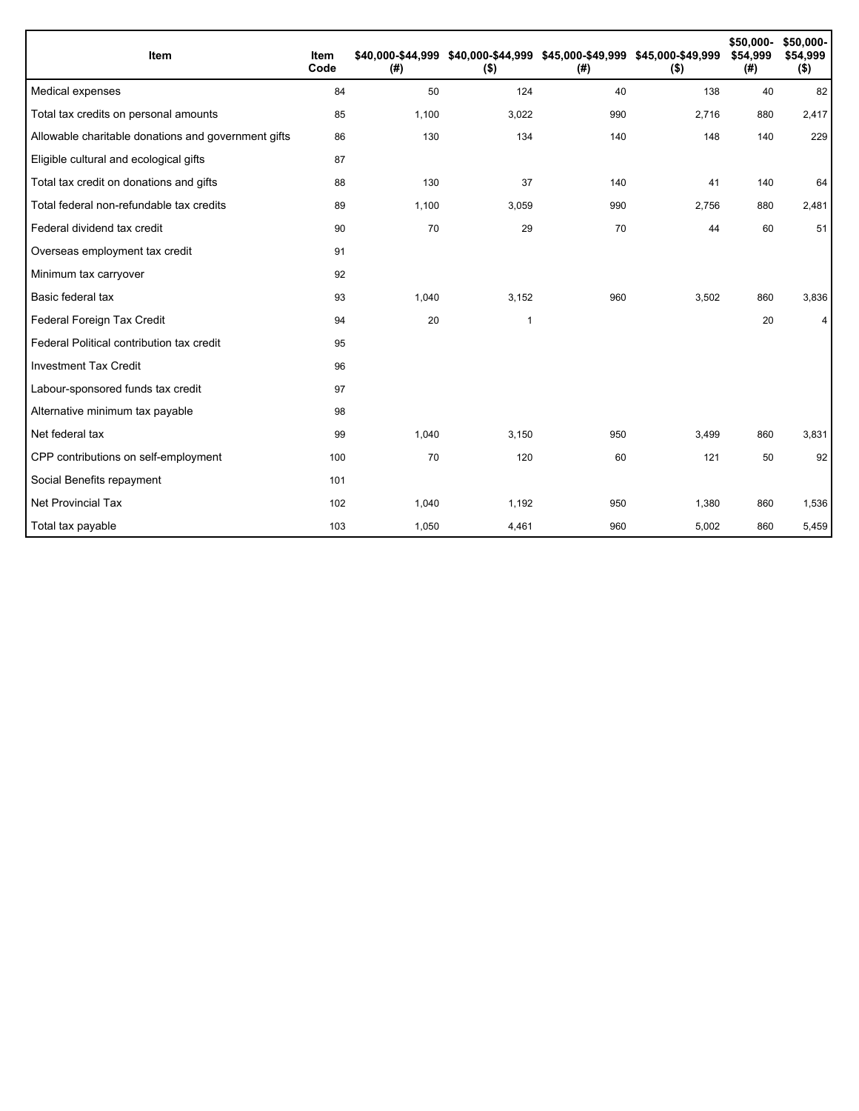| Item                                                | Item<br>Code | (#)   | \$40,000-\$44,999 \$40,000-\$44,999 \$45,000-\$49,999 \$45,000-\$49,999<br>$($ \$) | (#) | $($ \$) | \$50,000-<br>\$54,999<br>(#) | \$50,000-<br>\$54,999<br>$($ \$) |
|-----------------------------------------------------|--------------|-------|------------------------------------------------------------------------------------|-----|---------|------------------------------|----------------------------------|
| Medical expenses                                    | 84           | 50    | 124                                                                                | 40  | 138     | 40                           | 82                               |
| Total tax credits on personal amounts               | 85           | 1,100 | 3,022                                                                              | 990 | 2,716   | 880                          | 2,417                            |
| Allowable charitable donations and government gifts | 86           | 130   | 134                                                                                | 140 | 148     | 140                          | 229                              |
| Eligible cultural and ecological gifts              | 87           |       |                                                                                    |     |         |                              |                                  |
| Total tax credit on donations and gifts             | 88           | 130   | 37                                                                                 | 140 | 41      | 140                          | 64                               |
| Total federal non-refundable tax credits            | 89           | 1,100 | 3,059                                                                              | 990 | 2,756   | 880                          | 2,481                            |
| Federal dividend tax credit                         | 90           | 70    | 29                                                                                 | 70  | 44      | 60                           | 51                               |
| Overseas employment tax credit                      | 91           |       |                                                                                    |     |         |                              |                                  |
| Minimum tax carryover                               | 92           |       |                                                                                    |     |         |                              |                                  |
| Basic federal tax                                   | 93           | 1,040 | 3,152                                                                              | 960 | 3,502   | 860                          | 3,836                            |
| Federal Foreign Tax Credit                          | 94           | 20    | $\overline{1}$                                                                     |     |         | 20                           | 4                                |
| Federal Political contribution tax credit           | 95           |       |                                                                                    |     |         |                              |                                  |
| <b>Investment Tax Credit</b>                        | 96           |       |                                                                                    |     |         |                              |                                  |
| Labour-sponsored funds tax credit                   | 97           |       |                                                                                    |     |         |                              |                                  |
| Alternative minimum tax payable                     | 98           |       |                                                                                    |     |         |                              |                                  |
| Net federal tax                                     | 99           | 1,040 | 3,150                                                                              | 950 | 3,499   | 860                          | 3,831                            |
| CPP contributions on self-employment                | 100          | 70    | 120                                                                                | 60  | 121     | 50                           | 92                               |
| Social Benefits repayment                           | 101          |       |                                                                                    |     |         |                              |                                  |
| Net Provincial Tax                                  | 102          | 1,040 | 1,192                                                                              | 950 | 1,380   | 860                          | 1,536                            |
| Total tax payable                                   | 103          | 1,050 | 4,461                                                                              | 960 | 5,002   | 860                          | 5,459                            |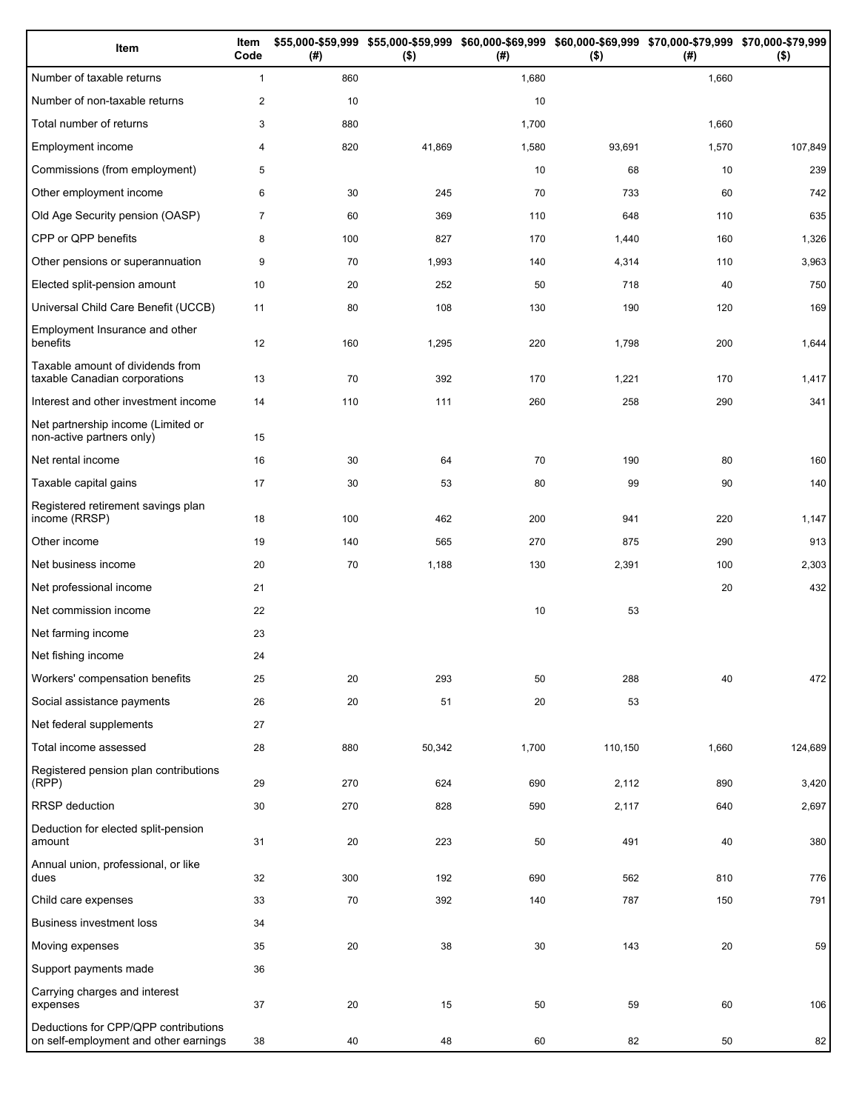| Item                                                                          | Item<br>Code   | (# ) | \$55,000-\$59,999 \$55,000-\$59,999<br>$($ \$) | (#)   | \$60,000-\$69,999 \$60,000-\$69,999 \$70,000-\$79,999 \$70,000-\$79,999<br>$($ \$) | (# )  | $($ \$) |
|-------------------------------------------------------------------------------|----------------|------|------------------------------------------------|-------|------------------------------------------------------------------------------------|-------|---------|
| Number of taxable returns                                                     | $\mathbf{1}$   | 860  |                                                | 1,680 |                                                                                    | 1,660 |         |
| Number of non-taxable returns                                                 | $\overline{c}$ | 10   |                                                | 10    |                                                                                    |       |         |
| Total number of returns                                                       | 3              | 880  |                                                | 1,700 |                                                                                    | 1,660 |         |
| Employment income                                                             | 4              | 820  | 41,869                                         | 1,580 | 93,691                                                                             | 1,570 | 107,849 |
| Commissions (from employment)                                                 | 5              |      |                                                | 10    | 68                                                                                 | 10    | 239     |
| Other employment income                                                       | 6              | 30   | 245                                            | 70    | 733                                                                                | 60    | 742     |
| Old Age Security pension (OASP)                                               | $\overline{7}$ | 60   | 369                                            | 110   | 648                                                                                | 110   | 635     |
| CPP or QPP benefits                                                           | 8              | 100  | 827                                            | 170   | 1,440                                                                              | 160   | 1,326   |
| Other pensions or superannuation                                              | 9              | 70   | 1,993                                          | 140   | 4,314                                                                              | 110   | 3,963   |
| Elected split-pension amount                                                  | 10             | 20   | 252                                            | 50    | 718                                                                                | 40    | 750     |
| Universal Child Care Benefit (UCCB)                                           | 11             | 80   | 108                                            | 130   | 190                                                                                | 120   | 169     |
| Employment Insurance and other<br>benefits                                    | 12             | 160  | 1,295                                          | 220   | 1,798                                                                              | 200   | 1,644   |
| Taxable amount of dividends from<br>taxable Canadian corporations             | 13             | 70   | 392                                            | 170   | 1,221                                                                              | 170   | 1,417   |
| Interest and other investment income                                          | 14             | 110  | 111                                            | 260   | 258                                                                                | 290   | 341     |
| Net partnership income (Limited or<br>non-active partners only)               | 15             |      |                                                |       |                                                                                    |       |         |
| Net rental income                                                             | 16             | 30   | 64                                             | 70    | 190                                                                                | 80    | 160     |
| Taxable capital gains                                                         | 17             | 30   | 53                                             | 80    | 99                                                                                 | 90    | 140     |
| Registered retirement savings plan<br>income (RRSP)                           | 18             | 100  | 462                                            | 200   | 941                                                                                | 220   | 1,147   |
| Other income                                                                  | 19             | 140  | 565                                            | 270   | 875                                                                                | 290   | 913     |
| Net business income                                                           | 20             | 70   | 1,188                                          | 130   | 2,391                                                                              | 100   | 2,303   |
| Net professional income                                                       | 21             |      |                                                |       |                                                                                    | 20    | 432     |
| Net commission income                                                         | 22             |      |                                                | 10    | 53                                                                                 |       |         |
| Net farming income                                                            | 23             |      |                                                |       |                                                                                    |       |         |
| Net fishing income                                                            | 24             |      |                                                |       |                                                                                    |       |         |
| Workers' compensation benefits                                                | 25             | 20   | 293                                            | 50    | 288                                                                                | 40    | 472     |
| Social assistance payments                                                    | 26             | 20   | 51                                             | 20    | 53                                                                                 |       |         |
| Net federal supplements                                                       | 27             |      |                                                |       |                                                                                    |       |         |
| Total income assessed                                                         | 28             | 880  | 50,342                                         | 1,700 | 110,150                                                                            | 1,660 | 124,689 |
| Registered pension plan contributions<br>(RPP)                                | 29             | 270  | 624                                            | 690   | 2,112                                                                              | 890   | 3,420   |
| RRSP deduction                                                                | 30             | 270  | 828                                            | 590   | 2,117                                                                              | 640   | 2,697   |
| Deduction for elected split-pension<br>amount                                 | 31             | 20   | 223                                            | 50    | 491                                                                                | 40    | 380     |
| Annual union, professional, or like<br>dues                                   | 32             | 300  | 192                                            | 690   | 562                                                                                | 810   | 776     |
| Child care expenses                                                           | 33             | 70   | 392                                            | 140   | 787                                                                                | 150   | 791     |
| <b>Business investment loss</b>                                               | 34             |      |                                                |       |                                                                                    |       |         |
| Moving expenses                                                               | 35             | 20   | 38                                             | 30    | 143                                                                                | 20    | 59      |
| Support payments made                                                         | 36             |      |                                                |       |                                                                                    |       |         |
| Carrying charges and interest<br>expenses                                     | 37             | 20   | 15                                             | 50    | 59                                                                                 | 60    | 106     |
| Deductions for CPP/QPP contributions<br>on self-employment and other earnings | 38             | 40   | 48                                             | 60    | 82                                                                                 | 50    | 82      |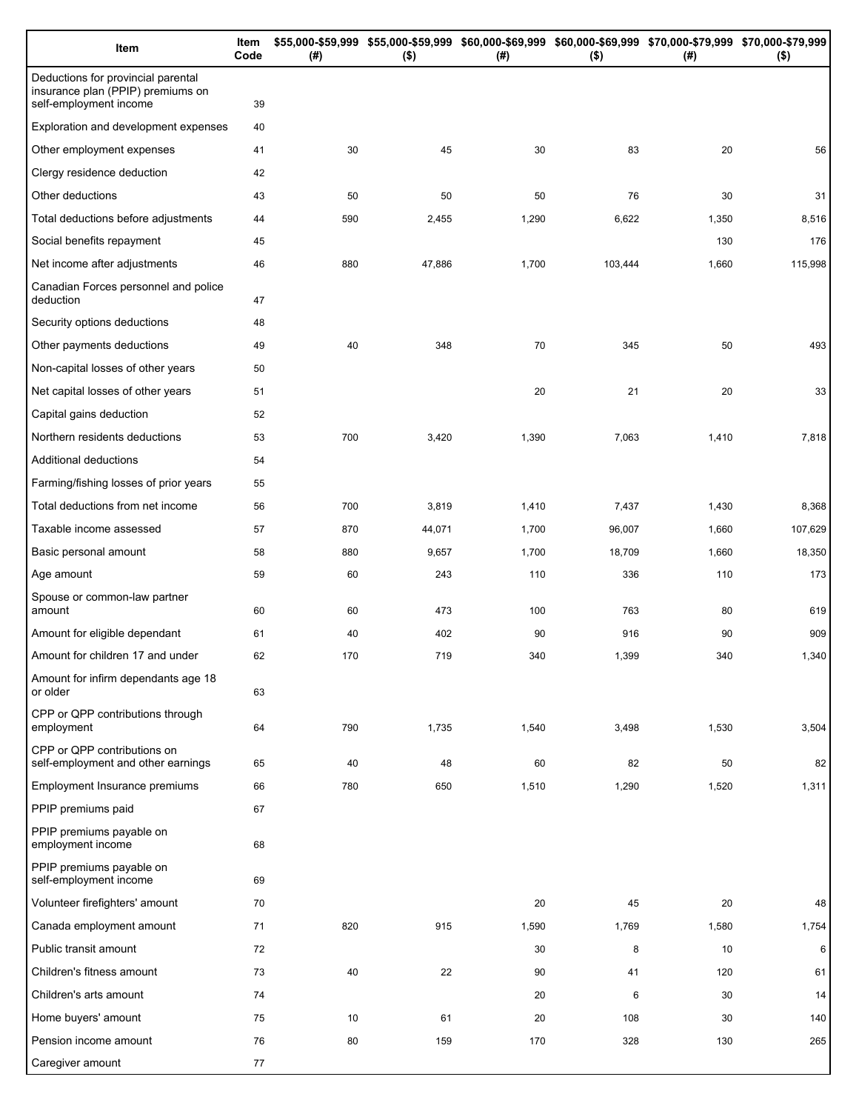| Item                                                                                              | Item<br>Code | (# ) | \$55,000-\$59,999 \$55,000-\$59,999 \$60,000-\$69,999 \$60,000-\$69,999 \$70,000-\$79,999 \$70,000-\$79,999<br>$($ \$) | (# )  | $($ \$) | (# )  | $($ \$) |
|---------------------------------------------------------------------------------------------------|--------------|------|------------------------------------------------------------------------------------------------------------------------|-------|---------|-------|---------|
| Deductions for provincial parental<br>insurance plan (PPIP) premiums on<br>self-employment income | 39           |      |                                                                                                                        |       |         |       |         |
| Exploration and development expenses                                                              | 40           |      |                                                                                                                        |       |         |       |         |
| Other employment expenses                                                                         | 41           | 30   | 45                                                                                                                     | 30    | 83      | 20    | 56      |
| Clergy residence deduction                                                                        | 42           |      |                                                                                                                        |       |         |       |         |
| Other deductions                                                                                  | 43           | 50   | 50                                                                                                                     | 50    | 76      | 30    | 31      |
| Total deductions before adjustments                                                               | 44           | 590  | 2,455                                                                                                                  | 1,290 | 6,622   | 1,350 | 8,516   |
| Social benefits repayment                                                                         | 45           |      |                                                                                                                        |       |         | 130   | 176     |
| Net income after adjustments                                                                      | 46           | 880  | 47,886                                                                                                                 | 1,700 | 103,444 | 1,660 | 115,998 |
| Canadian Forces personnel and police<br>deduction                                                 | 47           |      |                                                                                                                        |       |         |       |         |
| Security options deductions                                                                       | 48           |      |                                                                                                                        |       |         |       |         |
| Other payments deductions                                                                         | 49           | 40   | 348                                                                                                                    | 70    | 345     | 50    | 493     |
| Non-capital losses of other years                                                                 | 50           |      |                                                                                                                        |       |         |       |         |
| Net capital losses of other years                                                                 | 51           |      |                                                                                                                        | 20    | 21      | 20    | 33      |
| Capital gains deduction                                                                           | 52           |      |                                                                                                                        |       |         |       |         |
| Northern residents deductions                                                                     | 53           | 700  | 3,420                                                                                                                  | 1,390 | 7,063   | 1,410 | 7,818   |
| Additional deductions                                                                             | 54           |      |                                                                                                                        |       |         |       |         |
| Farming/fishing losses of prior years                                                             | 55           |      |                                                                                                                        |       |         |       |         |
| Total deductions from net income                                                                  | 56           | 700  | 3,819                                                                                                                  | 1,410 | 7,437   | 1,430 | 8,368   |
| Taxable income assessed                                                                           | 57           | 870  | 44,071                                                                                                                 | 1,700 | 96,007  | 1,660 | 107,629 |
| Basic personal amount                                                                             | 58           | 880  | 9,657                                                                                                                  | 1,700 | 18,709  | 1,660 | 18,350  |
| Age amount                                                                                        | 59           | 60   | 243                                                                                                                    | 110   | 336     | 110   | 173     |
| Spouse or common-law partner<br>amount                                                            | 60           | 60   | 473                                                                                                                    | 100   | 763     | 80    | 619     |
| Amount for eligible dependant                                                                     | 61           | 40   | 402                                                                                                                    | 90    | 916     | 90    | 909     |
| Amount for children 17 and under                                                                  | 62           | 170  | 719                                                                                                                    | 340   | 1,399   | 340   | 1,340   |
| Amount for infirm dependants age 18<br>or older                                                   | 63           |      |                                                                                                                        |       |         |       |         |
| CPP or QPP contributions through<br>employment                                                    | 64           | 790  | 1,735                                                                                                                  | 1,540 | 3,498   | 1,530 | 3,504   |
| CPP or QPP contributions on<br>self-employment and other earnings                                 | 65           | 40   | 48                                                                                                                     | 60    | 82      | 50    | 82      |
| Employment Insurance premiums                                                                     | 66           | 780  | 650                                                                                                                    | 1,510 | 1,290   | 1,520 | 1,311   |
| PPIP premiums paid                                                                                | 67           |      |                                                                                                                        |       |         |       |         |
| PPIP premiums payable on<br>employment income                                                     | 68           |      |                                                                                                                        |       |         |       |         |
| PPIP premiums payable on<br>self-employment income                                                | 69           |      |                                                                                                                        |       |         |       |         |
| Volunteer firefighters' amount                                                                    | 70           |      |                                                                                                                        | 20    | 45      | 20    | 48      |
| Canada employment amount                                                                          | 71           | 820  | 915                                                                                                                    | 1,590 | 1,769   | 1,580 | 1,754   |
| Public transit amount                                                                             | 72           |      |                                                                                                                        | 30    | 8       | 10    | 6       |
| Children's fitness amount                                                                         | 73           | 40   | 22                                                                                                                     | 90    | 41      | 120   | 61      |
| Children's arts amount                                                                            | 74           |      |                                                                                                                        | 20    | 6       | 30    | 14      |
| Home buyers' amount                                                                               | 75           | 10   | 61                                                                                                                     | 20    | 108     | 30    | 140     |
| Pension income amount                                                                             | 76           | 80   | 159                                                                                                                    | 170   | 328     | 130   | 265     |
| Caregiver amount                                                                                  | 77           |      |                                                                                                                        |       |         |       |         |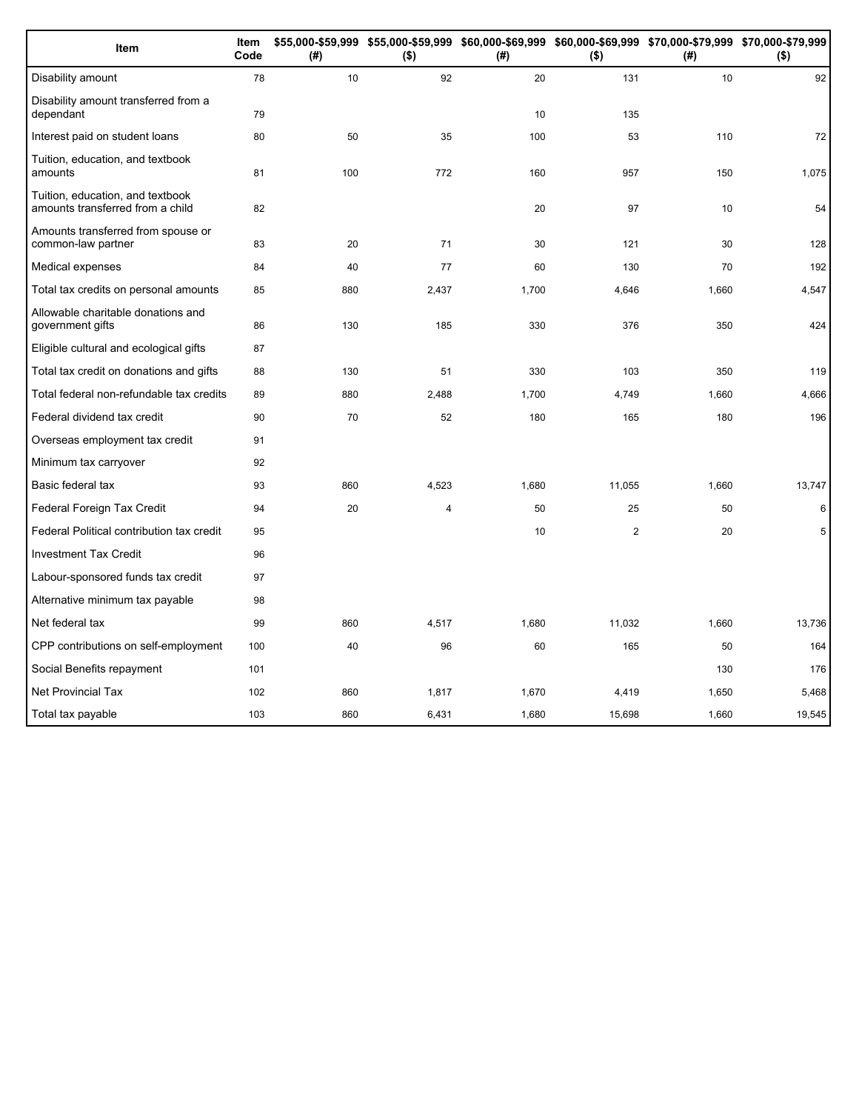| Item                                                                 | Item<br>Code | (#) | \$55,000-\$59,999 \$55,000-\$59,999 \$60,000-\$69,999 \$60,000-\$69,999 \$70,000-\$79,999 \$70,000-\$79,999<br>$($ \$) | (#)   | $($ \$) | (# )  | $($ \$) |
|----------------------------------------------------------------------|--------------|-----|------------------------------------------------------------------------------------------------------------------------|-------|---------|-------|---------|
| Disability amount                                                    | 78           | 10  | 92                                                                                                                     | 20    | 131     | 10    | 92      |
| Disability amount transferred from a<br>dependant                    | 79           |     |                                                                                                                        | 10    | 135     |       |         |
| Interest paid on student loans                                       | 80           | 50  | 35                                                                                                                     | 100   | 53      | 110   | 72      |
| Tuition, education, and textbook<br>amounts                          | 81           | 100 | 772                                                                                                                    | 160   | 957     | 150   | 1,075   |
| Tuition, education, and textbook<br>amounts transferred from a child | 82           |     |                                                                                                                        | 20    | 97      | 10    | 54      |
| Amounts transferred from spouse or<br>common-law partner             | 83           | 20  | 71                                                                                                                     | 30    | 121     | 30    | 128     |
| Medical expenses                                                     | 84           | 40  | 77                                                                                                                     | 60    | 130     | 70    | 192     |
| Total tax credits on personal amounts                                | 85           | 880 | 2,437                                                                                                                  | 1,700 | 4,646   | 1,660 | 4,547   |
| Allowable charitable donations and<br>government gifts               | 86           | 130 | 185                                                                                                                    | 330   | 376     | 350   | 424     |
| Eligible cultural and ecological gifts                               | 87           |     |                                                                                                                        |       |         |       |         |
| Total tax credit on donations and gifts                              | 88           | 130 | 51                                                                                                                     | 330   | 103     | 350   | 119     |
| Total federal non-refundable tax credits                             | 89           | 880 | 2,488                                                                                                                  | 1,700 | 4,749   | 1,660 | 4,666   |
| Federal dividend tax credit                                          | 90           | 70  | 52                                                                                                                     | 180   | 165     | 180   | 196     |
| Overseas employment tax credit                                       | 91           |     |                                                                                                                        |       |         |       |         |
| Minimum tax carryover                                                | 92           |     |                                                                                                                        |       |         |       |         |
| Basic federal tax                                                    | 93           | 860 | 4,523                                                                                                                  | 1,680 | 11,055  | 1,660 | 13,747  |
| Federal Foreign Tax Credit                                           | 94           | 20  | 4                                                                                                                      | 50    | 25      | 50    | 6       |
| Federal Political contribution tax credit                            | 95           |     |                                                                                                                        | 10    | 2       | 20    | 5       |
| <b>Investment Tax Credit</b>                                         | 96           |     |                                                                                                                        |       |         |       |         |
| Labour-sponsored funds tax credit                                    | 97           |     |                                                                                                                        |       |         |       |         |
| Alternative minimum tax payable                                      | 98           |     |                                                                                                                        |       |         |       |         |
| Net federal tax                                                      | 99           | 860 | 4,517                                                                                                                  | 1,680 | 11,032  | 1,660 | 13,736  |
| CPP contributions on self-employment                                 | 100          | 40  | 96                                                                                                                     | 60    | 165     | 50    | 164     |
| Social Benefits repayment                                            | 101          |     |                                                                                                                        |       |         | 130   | 176     |
| <b>Net Provincial Tax</b>                                            | 102          | 860 | 1,817                                                                                                                  | 1,670 | 4,419   | 1,650 | 5,468   |
| Total tax payable                                                    | 103          | 860 | 6,431                                                                                                                  | 1,680 | 15,698  | 1,660 | 19,545  |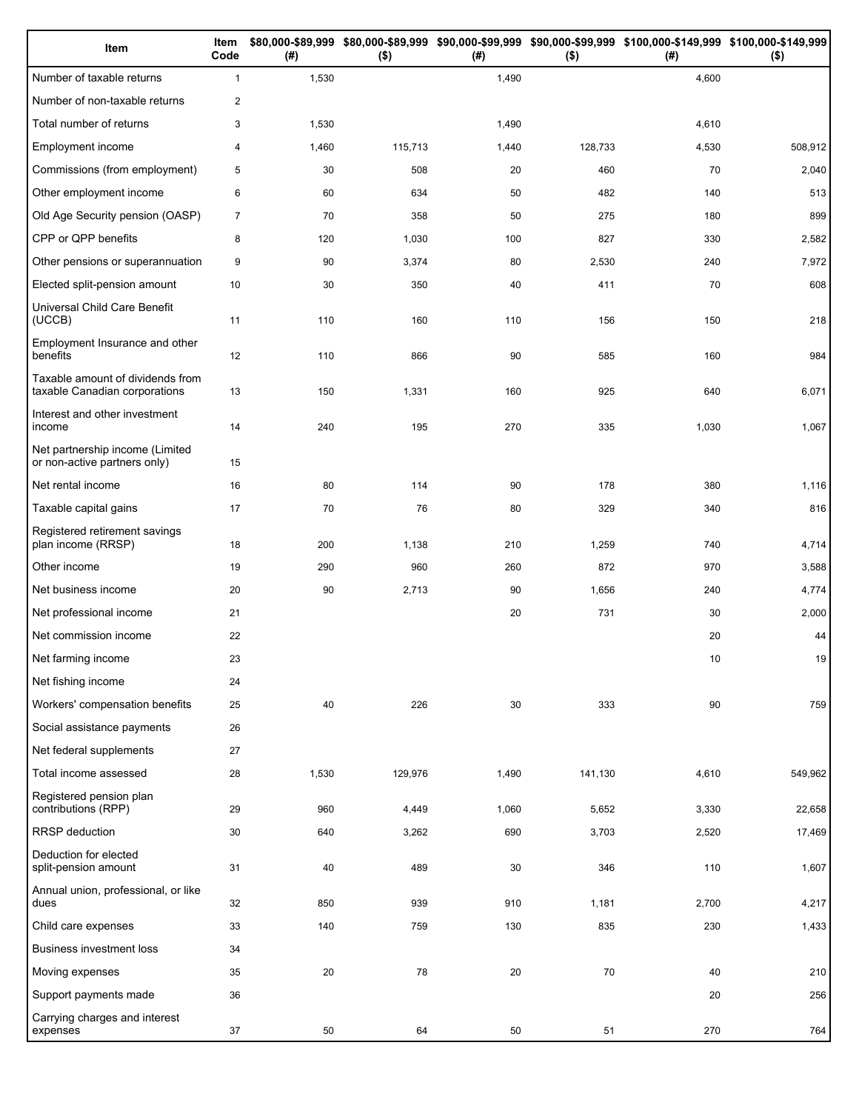| Item                                                              | Item<br>Code   | (# )  | $($ \$) | (# )  | $($ \$) | \$80,000-\$89,999 \$80,000-\$89,999 \$90,000-\$99,999 \$90,000-\$99,999 \$100,000-\$149,999 \$100,000-\$149,999<br>(#) | $($ \$) |
|-------------------------------------------------------------------|----------------|-------|---------|-------|---------|------------------------------------------------------------------------------------------------------------------------|---------|
| Number of taxable returns                                         | $\mathbf{1}$   | 1,530 |         | 1,490 |         | 4,600                                                                                                                  |         |
| Number of non-taxable returns                                     | $\overline{2}$ |       |         |       |         |                                                                                                                        |         |
| Total number of returns                                           | 3              | 1,530 |         | 1,490 |         | 4,610                                                                                                                  |         |
| Employment income                                                 | 4              | 1,460 | 115,713 | 1,440 | 128,733 | 4,530                                                                                                                  | 508,912 |
| Commissions (from employment)                                     | 5              | 30    | 508     | 20    | 460     | 70                                                                                                                     | 2,040   |
| Other employment income                                           | 6              | 60    | 634     | 50    | 482     | 140                                                                                                                    | 513     |
| Old Age Security pension (OASP)                                   | $\overline{7}$ | 70    | 358     | 50    | 275     | 180                                                                                                                    | 899     |
| CPP or QPP benefits                                               | 8              | 120   | 1,030   | 100   | 827     | 330                                                                                                                    | 2,582   |
| Other pensions or superannuation                                  | 9              | 90    | 3,374   | 80    | 2,530   | 240                                                                                                                    | 7,972   |
| Elected split-pension amount                                      | 10             | 30    | 350     | 40    | 411     | 70                                                                                                                     | 608     |
| Universal Child Care Benefit<br>(UCCB)                            | 11             | 110   | 160     | 110   | 156     | 150                                                                                                                    | 218     |
| Employment Insurance and other<br>benefits                        | 12             | 110   | 866     | 90    | 585     | 160                                                                                                                    | 984     |
| Taxable amount of dividends from<br>taxable Canadian corporations | 13             | 150   | 1,331   | 160   | 925     | 640                                                                                                                    | 6,071   |
| Interest and other investment<br>income                           | 14             | 240   | 195     | 270   | 335     | 1,030                                                                                                                  | 1,067   |
| Net partnership income (Limited<br>or non-active partners only)   | 15             |       |         |       |         |                                                                                                                        |         |
| Net rental income                                                 | 16             | 80    | 114     | 90    | 178     | 380                                                                                                                    | 1,116   |
| Taxable capital gains                                             | 17             | 70    | 76      | 80    | 329     | 340                                                                                                                    | 816     |
| Registered retirement savings<br>plan income (RRSP)               | 18             | 200   | 1,138   | 210   | 1,259   | 740                                                                                                                    | 4,714   |
| Other income                                                      | 19             | 290   | 960     | 260   | 872     | 970                                                                                                                    | 3,588   |
| Net business income                                               | 20             | 90    | 2,713   | 90    | 1,656   | 240                                                                                                                    | 4,774   |
| Net professional income                                           | 21             |       |         | 20    | 731     | 30                                                                                                                     | 2,000   |
| Net commission income                                             | 22             |       |         |       |         | 20                                                                                                                     | 44      |
| Net farming income                                                | 23             |       |         |       |         | 10                                                                                                                     | 19      |
| Net fishing income                                                | 24             |       |         |       |         |                                                                                                                        |         |
| Workers' compensation benefits                                    | 25             | 40    | 226     | 30    | 333     | 90                                                                                                                     | 759     |
| Social assistance payments                                        | 26             |       |         |       |         |                                                                                                                        |         |
| Net federal supplements                                           | 27             |       |         |       |         |                                                                                                                        |         |
| Total income assessed                                             | 28             | 1,530 | 129,976 | 1,490 | 141,130 | 4,610                                                                                                                  | 549,962 |
| Registered pension plan<br>contributions (RPP)                    | 29             | 960   | 4,449   | 1,060 | 5,652   | 3,330                                                                                                                  | 22,658  |
| RRSP deduction                                                    | 30             | 640   | 3,262   | 690   | 3,703   | 2,520                                                                                                                  | 17,469  |
| Deduction for elected<br>split-pension amount                     | 31             | 40    | 489     | 30    | 346     | 110                                                                                                                    | 1,607   |
| Annual union, professional, or like<br>dues                       | 32             | 850   | 939     | 910   | 1,181   | 2,700                                                                                                                  | 4,217   |
| Child care expenses                                               | 33             | 140   | 759     | 130   | 835     | 230                                                                                                                    | 1,433   |
| Business investment loss                                          | 34             |       |         |       |         |                                                                                                                        |         |
| Moving expenses                                                   | 35             | 20    | 78      | 20    | 70      | 40                                                                                                                     | 210     |
| Support payments made                                             | 36             |       |         |       |         | 20                                                                                                                     | 256     |
| Carrying charges and interest<br>expenses                         | 37             | 50    | 64      | 50    | 51      | 270                                                                                                                    | 764     |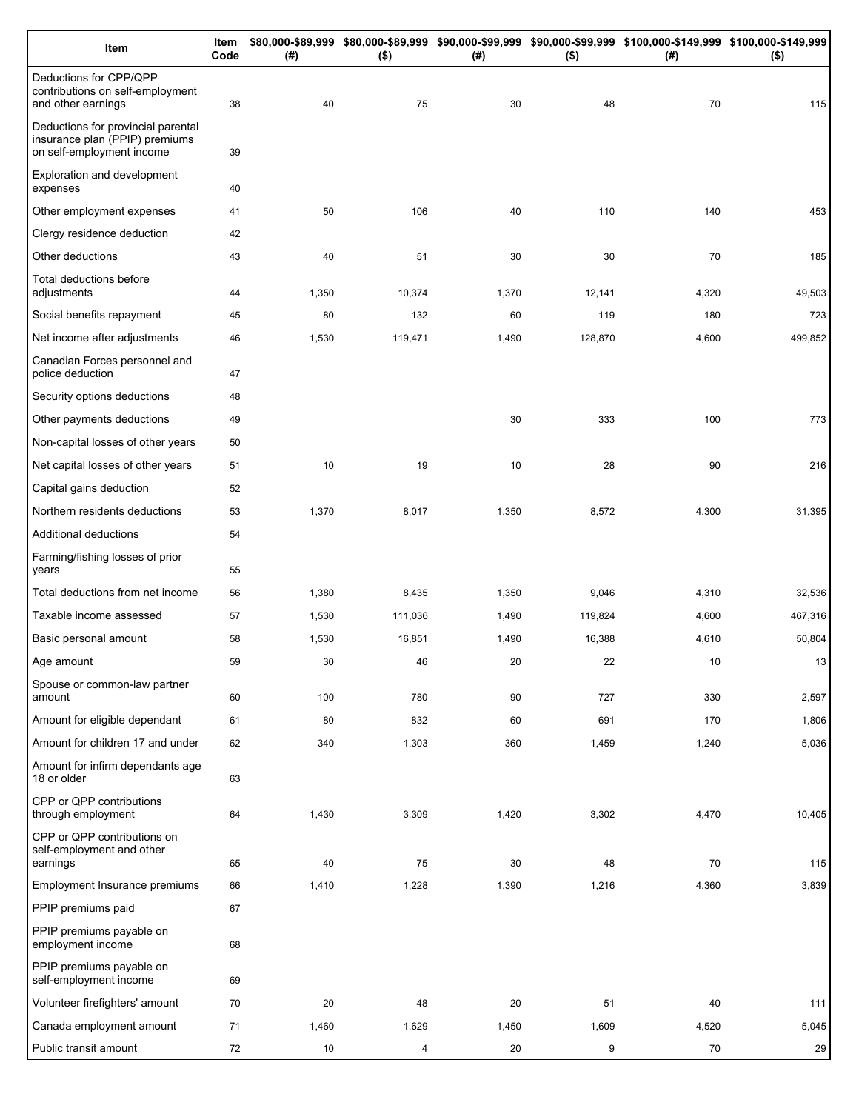| Item                                                                                              | Item<br>Code | (#)    | $($ \$) | (# )  | $($ \$) | \$80,000-\$89,999 \$80,000-\$89,999 \$90,000-\$99,999 \$90,000-\$99,999 \$100,000-\$149,999 \$100,000-\$149,999<br>(#) | $($ \$) |
|---------------------------------------------------------------------------------------------------|--------------|--------|---------|-------|---------|------------------------------------------------------------------------------------------------------------------------|---------|
| Deductions for CPP/QPP<br>contributions on self-employment<br>and other earnings                  | 38           | 40     | 75      | 30    | 48      | 70                                                                                                                     | 115     |
| Deductions for provincial parental<br>insurance plan (PPIP) premiums<br>on self-employment income | 39           |        |         |       |         |                                                                                                                        |         |
| Exploration and development<br>expenses                                                           | 40           |        |         |       |         |                                                                                                                        |         |
| Other employment expenses                                                                         | 41           | 50     | 106     | 40    | 110     | 140                                                                                                                    | 453     |
| Clergy residence deduction                                                                        | 42           |        |         |       |         |                                                                                                                        |         |
| Other deductions                                                                                  | 43           | 40     | 51      | 30    | 30      | 70                                                                                                                     | 185     |
| Total deductions before<br>adjustments                                                            | 44           | 1,350  | 10,374  | 1,370 | 12,141  | 4,320                                                                                                                  | 49,503  |
| Social benefits repayment                                                                         | 45           | 80     | 132     | 60    | 119     | 180                                                                                                                    | 723     |
| Net income after adjustments                                                                      | 46           | 1,530  | 119,471 | 1,490 | 128,870 | 4,600                                                                                                                  | 499,852 |
| Canadian Forces personnel and<br>police deduction                                                 | 47           |        |         |       |         |                                                                                                                        |         |
| Security options deductions                                                                       | 48           |        |         |       |         |                                                                                                                        |         |
| Other payments deductions                                                                         | 49           |        |         | 30    | 333     | 100                                                                                                                    | 773     |
| Non-capital losses of other years                                                                 | 50           |        |         |       |         |                                                                                                                        |         |
| Net capital losses of other years                                                                 | 51           | 10     | 19      | 10    | 28      | 90                                                                                                                     | 216     |
| Capital gains deduction                                                                           | 52           |        |         |       |         |                                                                                                                        |         |
| Northern residents deductions                                                                     | 53           | 1,370  | 8,017   | 1,350 | 8,572   | 4,300                                                                                                                  | 31,395  |
| Additional deductions                                                                             | 54           |        |         |       |         |                                                                                                                        |         |
| Farming/fishing losses of prior<br>years                                                          | 55           |        |         |       |         |                                                                                                                        |         |
| Total deductions from net income                                                                  | 56           | 1,380  | 8,435   | 1,350 | 9,046   | 4,310                                                                                                                  | 32,536  |
| Taxable income assessed                                                                           | 57           | 1,530  | 111,036 | 1,490 | 119,824 | 4,600                                                                                                                  | 467,316 |
| Basic personal amount                                                                             | 58           | 1,530  | 16,851  | 1,490 | 16,388  | 4,610                                                                                                                  | 50,804  |
| Age amount                                                                                        | 59           | $30\,$ | 46      | 20    | 22      | 10                                                                                                                     | 13      |
| Spouse or common-law partner<br>amount                                                            | 60           | 100    | 780     | 90    | 727     | 330                                                                                                                    | 2,597   |
| Amount for eligible dependant                                                                     | 61           | 80     | 832     | 60    | 691     | 170                                                                                                                    | 1,806   |
| Amount for children 17 and under                                                                  | 62           | 340    | 1,303   | 360   | 1,459   | 1,240                                                                                                                  | 5,036   |
| Amount for infirm dependants age<br>18 or older                                                   | 63           |        |         |       |         |                                                                                                                        |         |
| CPP or QPP contributions<br>through employment                                                    | 64           | 1,430  | 3,309   | 1,420 | 3,302   | 4,470                                                                                                                  | 10,405  |
| CPP or QPP contributions on<br>self-employment and other                                          |              |        |         |       |         |                                                                                                                        |         |
| earnings                                                                                          | 65           | 40     | 75      | 30    | 48      | 70                                                                                                                     | 115     |
| Employment Insurance premiums<br>PPIP premiums paid                                               | 66<br>67     | 1,410  | 1,228   | 1,390 | 1,216   | 4,360                                                                                                                  | 3,839   |
|                                                                                                   |              |        |         |       |         |                                                                                                                        |         |
| PPIP premiums payable on<br>employment income                                                     | 68           |        |         |       |         |                                                                                                                        |         |
| PPIP premiums payable on<br>self-employment income                                                | 69           |        |         |       |         |                                                                                                                        |         |
| Volunteer firefighters' amount                                                                    | 70           | 20     | 48      | 20    | 51      | 40                                                                                                                     | 111     |
| Canada employment amount                                                                          | 71           | 1,460  | 1,629   | 1,450 | 1,609   | 4,520                                                                                                                  | 5,045   |
| Public transit amount                                                                             | 72           | 10     | 4       | 20    | 9       | 70                                                                                                                     | 29      |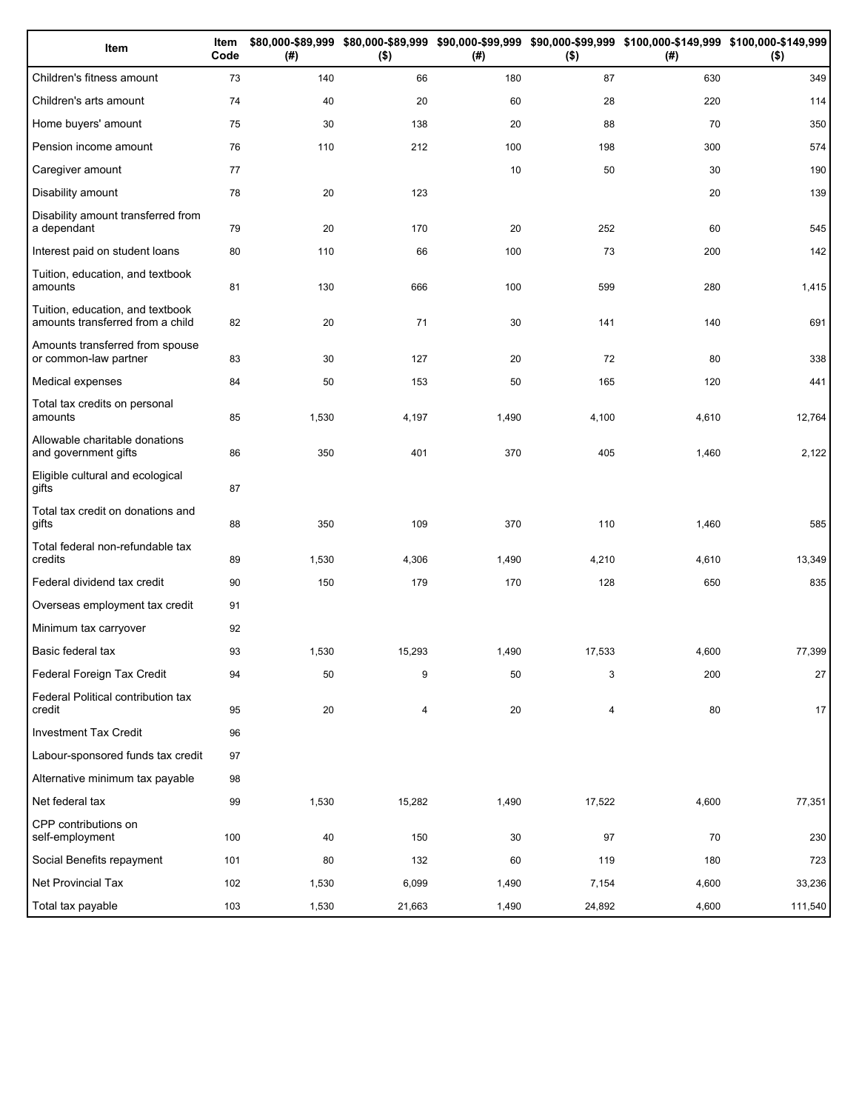| Item                                                                 | Item<br>Code | (#)   | $($ \$) | (#)   | $($ \$) | \$80,000-\$89,999 \$80,000-\$89,999 \$90,000-\$99,999 \$90,000-\$99,999 \$100,000-\$149,999 \$100,000-\$149,999<br>(#) | $($ \$) |
|----------------------------------------------------------------------|--------------|-------|---------|-------|---------|------------------------------------------------------------------------------------------------------------------------|---------|
| Children's fitness amount                                            | 73           | 140   | 66      | 180   | 87      | 630                                                                                                                    | 349     |
| Children's arts amount                                               | 74           | 40    | 20      | 60    | 28      | 220                                                                                                                    | 114     |
| Home buyers' amount                                                  | 75           | 30    | 138     | 20    | 88      | 70                                                                                                                     | 350     |
| Pension income amount                                                | 76           | 110   | 212     | 100   | 198     | 300                                                                                                                    | 574     |
| Caregiver amount                                                     | 77           |       |         | 10    | 50      | 30                                                                                                                     | 190     |
| Disability amount                                                    | 78           | 20    | 123     |       |         | 20                                                                                                                     | 139     |
| Disability amount transferred from<br>a dependant                    | 79           | 20    | 170     | 20    | 252     | 60                                                                                                                     | 545     |
| Interest paid on student loans                                       | 80           | 110   | 66      | 100   | 73      | 200                                                                                                                    | 142     |
| Tuition, education, and textbook<br>amounts                          | 81           | 130   | 666     | 100   | 599     | 280                                                                                                                    | 1,415   |
| Tuition, education, and textbook<br>amounts transferred from a child | 82           | 20    | 71      | 30    | 141     | 140                                                                                                                    | 691     |
| Amounts transferred from spouse<br>or common-law partner             | 83           | 30    | 127     | 20    | 72      | 80                                                                                                                     | 338     |
| Medical expenses                                                     | 84           | 50    | 153     | 50    | 165     | 120                                                                                                                    | 441     |
| Total tax credits on personal<br>amounts                             | 85           | 1,530 | 4,197   | 1,490 | 4,100   | 4,610                                                                                                                  | 12,764  |
| Allowable charitable donations<br>and government gifts               | 86           | 350   | 401     | 370   | 405     | 1,460                                                                                                                  | 2,122   |
| Eligible cultural and ecological<br>gifts                            | 87           |       |         |       |         |                                                                                                                        |         |
| Total tax credit on donations and<br>gifts                           | 88           | 350   | 109     | 370   | 110     | 1,460                                                                                                                  | 585     |
| Total federal non-refundable tax<br>credits                          | 89           | 1,530 | 4,306   | 1,490 | 4,210   | 4,610                                                                                                                  | 13,349  |
| Federal dividend tax credit                                          | 90           | 150   | 179     | 170   | 128     | 650                                                                                                                    | 835     |
| Overseas employment tax credit                                       | 91           |       |         |       |         |                                                                                                                        |         |
| Minimum tax carryover                                                | 92           |       |         |       |         |                                                                                                                        |         |
| Basic federal tax                                                    | 93           | 1,530 | 15,293  | 1,490 | 17,533  | 4,600                                                                                                                  | 77,399  |
| Federal Foreign Tax Credit                                           | 94           | 50    | 9       | 50    | 3       | 200                                                                                                                    | 27      |
| Federal Political contribution tax<br>credit                         | 95           | 20    | 4       | 20    | 4       | 80                                                                                                                     | 17      |
| <b>Investment Tax Credit</b>                                         | 96           |       |         |       |         |                                                                                                                        |         |
| Labour-sponsored funds tax credit                                    | 97           |       |         |       |         |                                                                                                                        |         |
| Alternative minimum tax payable                                      | 98           |       |         |       |         |                                                                                                                        |         |
| Net federal tax                                                      | 99           | 1,530 | 15,282  | 1,490 | 17,522  | 4,600                                                                                                                  | 77,351  |
| CPP contributions on<br>self-employment                              | 100          | 40    | 150     | 30    | 97      | 70                                                                                                                     | 230     |
| Social Benefits repayment                                            | 101          | 80    | 132     | 60    | 119     | 180                                                                                                                    | 723     |
| Net Provincial Tax                                                   | 102          | 1,530 | 6,099   | 1,490 | 7,154   | 4,600                                                                                                                  | 33,236  |
| Total tax payable                                                    | 103          | 1,530 | 21,663  | 1,490 | 24,892  | 4,600                                                                                                                  | 111,540 |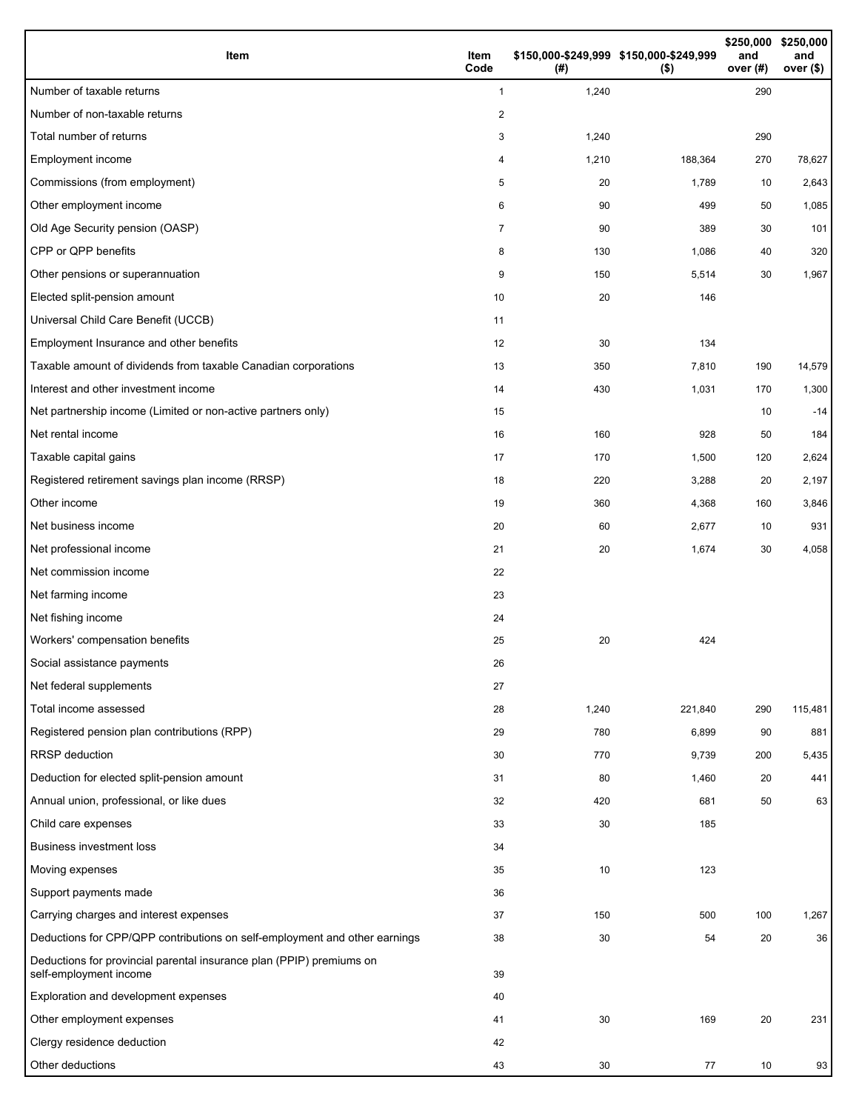| Item                                                                                           | Item<br>Code | (#)   | \$150,000-\$249,999 \$150,000-\$249,999<br>$($ \$) | \$250,000<br>and<br>over (#) | \$250,000<br>and<br>over (\$) |
|------------------------------------------------------------------------------------------------|--------------|-------|----------------------------------------------------|------------------------------|-------------------------------|
| Number of taxable returns                                                                      | $\mathbf{1}$ | 1,240 |                                                    | 290                          |                               |
| Number of non-taxable returns                                                                  | 2            |       |                                                    |                              |                               |
| Total number of returns                                                                        | 3            | 1,240 |                                                    | 290                          |                               |
| Employment income                                                                              | 4            | 1,210 | 188,364                                            | 270                          | 78,627                        |
| Commissions (from employment)                                                                  | 5            | 20    | 1,789                                              | 10                           | 2,643                         |
| Other employment income                                                                        | 6            | 90    | 499                                                | 50                           | 1,085                         |
| Old Age Security pension (OASP)                                                                | 7            | 90    | 389                                                | 30                           | 101                           |
| CPP or QPP benefits                                                                            | 8            | 130   | 1,086                                              | 40                           | 320                           |
| Other pensions or superannuation                                                               | 9            | 150   | 5,514                                              | 30                           | 1,967                         |
| Elected split-pension amount                                                                   | 10           | 20    | 146                                                |                              |                               |
| Universal Child Care Benefit (UCCB)                                                            | 11           |       |                                                    |                              |                               |
| Employment Insurance and other benefits                                                        | 12           | 30    | 134                                                |                              |                               |
| Taxable amount of dividends from taxable Canadian corporations                                 | 13           | 350   | 7,810                                              | 190                          | 14,579                        |
| Interest and other investment income                                                           | 14           | 430   | 1,031                                              | 170                          | 1,300                         |
| Net partnership income (Limited or non-active partners only)                                   | 15           |       |                                                    | 10                           | $-14$                         |
| Net rental income                                                                              | 16           | 160   | 928                                                | 50                           | 184                           |
| Taxable capital gains                                                                          | 17           | 170   | 1,500                                              | 120                          | 2,624                         |
| Registered retirement savings plan income (RRSP)                                               | 18           | 220   | 3,288                                              | 20                           | 2,197                         |
| Other income                                                                                   | 19           | 360   | 4,368                                              | 160                          | 3,846                         |
| Net business income                                                                            | 20           | 60    | 2,677                                              | 10                           | 931                           |
| Net professional income                                                                        | 21           | 20    | 1,674                                              | 30                           | 4,058                         |
| Net commission income                                                                          | 22           |       |                                                    |                              |                               |
| Net farming income                                                                             | 23           |       |                                                    |                              |                               |
| Net fishing income                                                                             | 24           |       |                                                    |                              |                               |
| Workers' compensation benefits                                                                 | 25           | 20    | 424                                                |                              |                               |
| Social assistance payments                                                                     | 26           |       |                                                    |                              |                               |
| Net federal supplements                                                                        | 27           |       |                                                    |                              |                               |
| Total income assessed                                                                          | 28           | 1,240 | 221,840                                            | 290                          | 115,481                       |
| Registered pension plan contributions (RPP)                                                    | 29           | 780   | 6,899                                              | 90                           | 881                           |
| <b>RRSP</b> deduction                                                                          | 30           | 770   | 9,739                                              | 200                          | 5,435                         |
| Deduction for elected split-pension amount                                                     | 31           | 80    | 1,460                                              | 20                           | 441                           |
| Annual union, professional, or like dues                                                       | 32           | 420   | 681                                                | 50                           | 63                            |
| Child care expenses                                                                            | 33           | 30    | 185                                                |                              |                               |
| <b>Business investment loss</b>                                                                | 34           |       |                                                    |                              |                               |
| Moving expenses                                                                                | 35           | 10    | 123                                                |                              |                               |
| Support payments made                                                                          | 36           |       |                                                    |                              |                               |
| Carrying charges and interest expenses                                                         | 37           | 150   | 500                                                | 100                          | 1,267                         |
| Deductions for CPP/QPP contributions on self-employment and other earnings                     | 38           | 30    | 54                                                 | 20                           | 36                            |
| Deductions for provincial parental insurance plan (PPIP) premiums on<br>self-employment income | 39           |       |                                                    |                              |                               |
| Exploration and development expenses                                                           | 40           |       |                                                    |                              |                               |
| Other employment expenses                                                                      | 41           | 30    | 169                                                | 20                           | 231                           |
| Clergy residence deduction                                                                     | 42           |       |                                                    |                              |                               |
| Other deductions                                                                               | 43           | 30    | 77                                                 | 10                           | 93                            |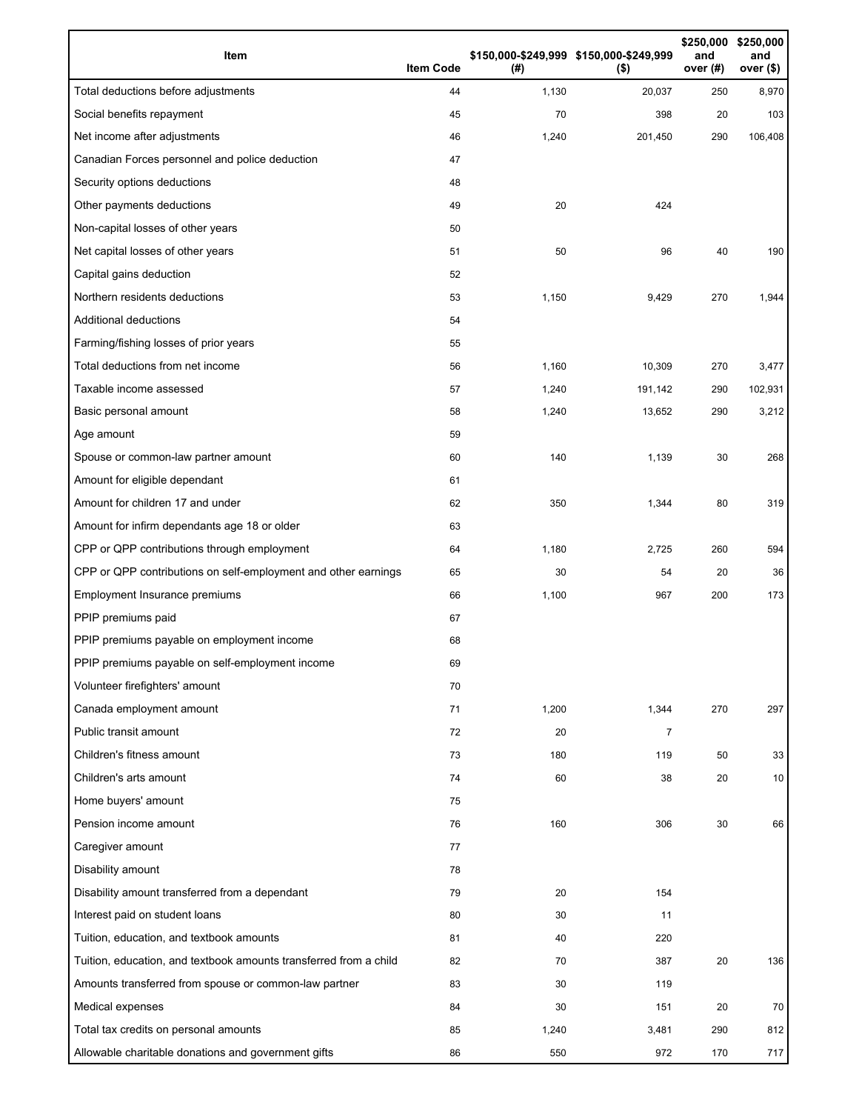| Item                                                              | <b>Item Code</b> | (# )  | \$150,000-\$249,999 \$150,000-\$249,999<br>$($ \$) | \$250,000<br>and<br>over (#) | \$250,000<br>and<br>over $($)$ |
|-------------------------------------------------------------------|------------------|-------|----------------------------------------------------|------------------------------|--------------------------------|
| Total deductions before adjustments                               | 44               | 1,130 | 20,037                                             | 250                          | 8,970                          |
| Social benefits repayment                                         | 45               | 70    | 398                                                | 20                           | 103                            |
| Net income after adjustments                                      | 46               | 1,240 | 201,450                                            | 290                          | 106,408                        |
| Canadian Forces personnel and police deduction                    | 47               |       |                                                    |                              |                                |
| Security options deductions                                       | 48               |       |                                                    |                              |                                |
| Other payments deductions                                         | 49               | 20    | 424                                                |                              |                                |
| Non-capital losses of other years                                 | 50               |       |                                                    |                              |                                |
| Net capital losses of other years                                 | 51               | 50    | 96                                                 | 40                           | 190                            |
| Capital gains deduction                                           | 52               |       |                                                    |                              |                                |
| Northern residents deductions                                     | 53               | 1,150 | 9,429                                              | 270                          | 1,944                          |
| Additional deductions                                             | 54               |       |                                                    |                              |                                |
| Farming/fishing losses of prior years                             | 55               |       |                                                    |                              |                                |
| Total deductions from net income                                  | 56               | 1,160 | 10,309                                             | 270                          | 3,477                          |
| Taxable income assessed                                           | 57               | 1,240 | 191,142                                            | 290                          | 102,931                        |
| Basic personal amount                                             | 58               | 1,240 | 13,652                                             | 290                          | 3,212                          |
| Age amount                                                        | 59               |       |                                                    |                              |                                |
| Spouse or common-law partner amount                               | 60               | 140   | 1,139                                              | 30                           | 268                            |
| Amount for eligible dependant                                     | 61               |       |                                                    |                              |                                |
| Amount for children 17 and under                                  | 62               | 350   | 1,344                                              | 80                           | 319                            |
| Amount for infirm dependants age 18 or older                      | 63               |       |                                                    |                              |                                |
| CPP or QPP contributions through employment                       | 64               | 1,180 | 2,725                                              | 260                          | 594                            |
| CPP or QPP contributions on self-employment and other earnings    | 65               | 30    | 54                                                 | 20                           | 36                             |
| Employment Insurance premiums                                     | 66               | 1,100 | 967                                                | 200                          | 173                            |
| PPIP premiums paid                                                | 67               |       |                                                    |                              |                                |
| PPIP premiums payable on employment income                        | 68               |       |                                                    |                              |                                |
| PPIP premiums payable on self-employment income                   | 69               |       |                                                    |                              |                                |
| Volunteer firefighters' amount                                    | 70               |       |                                                    |                              |                                |
| Canada employment amount                                          | 71               | 1,200 | 1,344                                              | 270                          | 297                            |
| Public transit amount                                             | 72               | 20    | $\overline{7}$                                     |                              |                                |
| Children's fitness amount                                         | 73               | 180   | 119                                                | 50                           | 33                             |
| Children's arts amount                                            | 74               | 60    | 38                                                 | 20                           | 10                             |
| Home buyers' amount                                               | 75               |       |                                                    |                              |                                |
| Pension income amount                                             | 76               | 160   | 306                                                | 30                           | 66                             |
| Caregiver amount                                                  | 77               |       |                                                    |                              |                                |
| Disability amount                                                 | 78               |       |                                                    |                              |                                |
| Disability amount transferred from a dependant                    | 79               | 20    | 154                                                |                              |                                |
| Interest paid on student loans                                    | 80               | 30    | 11                                                 |                              |                                |
| Tuition, education, and textbook amounts                          | 81               | 40    | 220                                                |                              |                                |
| Tuition, education, and textbook amounts transferred from a child | 82               | 70    | 387                                                | 20                           | 136                            |
| Amounts transferred from spouse or common-law partner             | 83               | 30    | 119                                                |                              |                                |
| Medical expenses                                                  | 84               | 30    | 151                                                | 20                           | 70                             |
| Total tax credits on personal amounts                             | 85               | 1,240 | 3,481                                              | 290                          | 812                            |
| Allowable charitable donations and government gifts               | 86               | 550   | 972                                                | 170                          | 717                            |